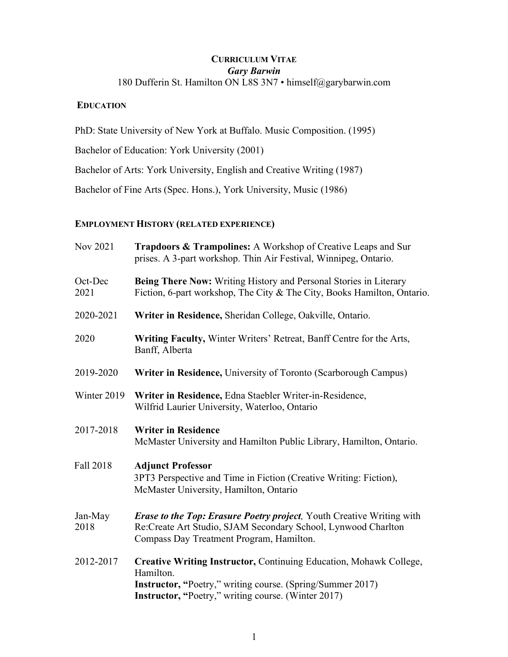# **CURRICULUM VITAE** *Gary Barwin* 180 Dufferin St. Hamilton ON L8S 3N7 • himself@garybarwin.com

# **EDUCATION**

PhD: State University of New York at Buffalo. Music Composition. (1995)

Bachelor of Education: York University (2001)

Bachelor of Arts: York University, English and Creative Writing (1987)

Bachelor of Fine Arts (Spec. Hons.), York University, Music (1986)

# **EMPLOYMENT HISTORY (RELATED EXPERIENCE)**

| Nov 2021        | Trapdoors & Trampolines: A Workshop of Creative Leaps and Sur<br>prises. A 3-part workshop. Thin Air Festival, Winnipeg, Ontario.                                                                                  |
|-----------------|--------------------------------------------------------------------------------------------------------------------------------------------------------------------------------------------------------------------|
| Oct-Dec<br>2021 | Being There Now: Writing History and Personal Stories in Literary<br>Fiction, 6-part workshop, The City & The City, Books Hamilton, Ontario.                                                                       |
| 2020-2021       | Writer in Residence, Sheridan College, Oakville, Ontario.                                                                                                                                                          |
| 2020            | Writing Faculty, Winter Writers' Retreat, Banff Centre for the Arts,<br>Banff, Alberta                                                                                                                             |
| 2019-2020       | Writer in Residence, University of Toronto (Scarborough Campus)                                                                                                                                                    |
| Winter 2019     | Writer in Residence, Edna Staebler Writer-in-Residence,<br>Wilfrid Laurier University, Waterloo, Ontario                                                                                                           |
| 2017-2018       | <b>Writer in Residence</b><br>McMaster University and Hamilton Public Library, Hamilton, Ontario.                                                                                                                  |
| Fall 2018       | <b>Adjunct Professor</b><br>3PT3 Perspective and Time in Fiction (Creative Writing: Fiction),<br>McMaster University, Hamilton, Ontario                                                                            |
| Jan-May<br>2018 | <b>Erase to the Top: Erasure Poetry project, Youth Creative Writing with</b><br>Re:Create Art Studio, SJAM Secondary School, Lynwood Charlton<br>Compass Day Treatment Program, Hamilton.                          |
| 2012-2017       | Creative Writing Instructor, Continuing Education, Mohawk College,<br>Hamilton.<br><b>Instructor, "Poetry," writing course. (Spring/Summer 2017)</b><br><b>Instructor, "Poetry," writing course. (Winter 2017)</b> |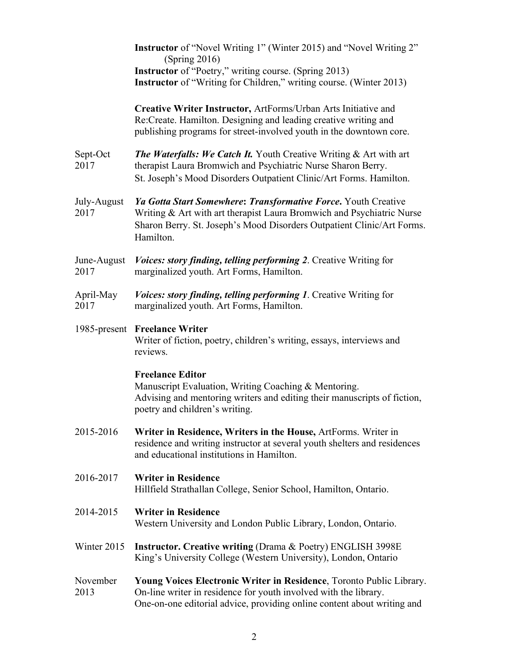|                     | Instructor of "Novel Writing 1" (Winter 2015) and "Novel Writing 2"<br>(Spring 2016)                                                                                                                                           |
|---------------------|--------------------------------------------------------------------------------------------------------------------------------------------------------------------------------------------------------------------------------|
|                     | <b>Instructor</b> of "Poetry," writing course. (Spring 2013)<br><b>Instructor</b> of "Writing for Children," writing course. (Winter 2013)                                                                                     |
|                     | Creative Writer Instructor, ArtForms/Urban Arts Initiative and<br>Re:Create. Hamilton. Designing and leading creative writing and<br>publishing programs for street-involved youth in the downtown core.                       |
| Sept-Oct<br>2017    | <b>The Waterfalls: We Catch It.</b> Youth Creative Writing & Art with art<br>therapist Laura Bromwich and Psychiatric Nurse Sharon Berry.<br>St. Joseph's Mood Disorders Outpatient Clinic/Art Forms. Hamilton.                |
| July-August<br>2017 | Ya Gotta Start Somewhere: Transformative Force. Youth Creative<br>Writing & Art with art therapist Laura Bromwich and Psychiatric Nurse<br>Sharon Berry. St. Joseph's Mood Disorders Outpatient Clinic/Art Forms.<br>Hamilton. |
| June-August<br>2017 | <i>Voices: story finding, telling performing 2. Creative Writing for</i><br>marginalized youth. Art Forms, Hamilton.                                                                                                           |
| April-May<br>2017   | Voices: story finding, telling performing 1. Creative Writing for<br>marginalized youth. Art Forms, Hamilton.                                                                                                                  |
|                     | 1985-present Freelance Writer<br>Writer of fiction, poetry, children's writing, essays, interviews and<br>reviews.                                                                                                             |
|                     | <b>Freelance Editor</b><br>Manuscript Evaluation, Writing Coaching & Mentoring.<br>Advising and mentoring writers and editing their manuscripts of fiction,<br>poetry and children's writing.                                  |
| 2015-2016           | Writer in Residence, Writers in the House, ArtForms. Writer in<br>residence and writing instructor at several youth shelters and residences<br>and educational institutions in Hamilton.                                       |
| 2016-2017           | <b>Writer in Residence</b><br>Hillfield Strathallan College, Senior School, Hamilton, Ontario.                                                                                                                                 |
| 2014-2015           | <b>Writer in Residence</b><br>Western University and London Public Library, London, Ontario.                                                                                                                                   |
| Winter 2015         | <b>Instructor. Creative writing (Drama &amp; Poetry) ENGLISH 3998E</b><br>King's University College (Western University), London, Ontario                                                                                      |
| November<br>2013    | Young Voices Electronic Writer in Residence, Toronto Public Library.<br>On-line writer in residence for youth involved with the library.<br>One-on-one editorial advice, providing online content about writing and            |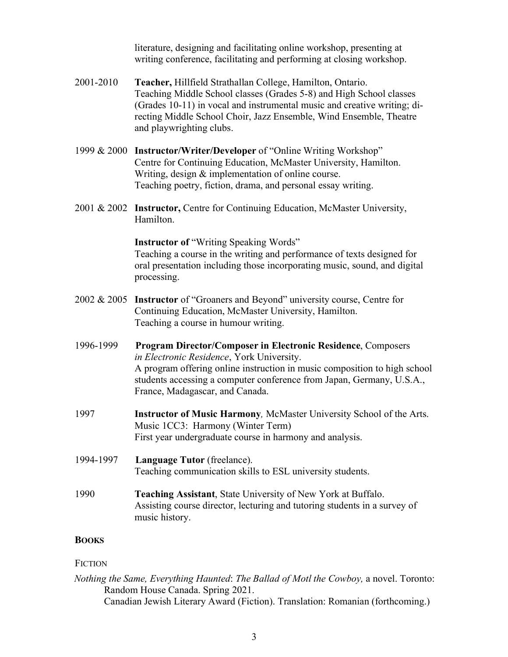literature, designing and facilitating online workshop, presenting at writing conference, facilitating and performing at closing workshop.

- 2001-2010 **Teacher,** Hillfield Strathallan College, Hamilton, Ontario. Teaching Middle School classes (Grades 5-8) and High School classes (Grades 10-11) in vocal and instrumental music and creative writing; directing Middle School Choir, Jazz Ensemble, Wind Ensemble, Theatre and playwrighting clubs.
- 1999 & 2000 **Instructor/Writer/Developer** of "Online Writing Workshop" Centre for Continuing Education, McMaster University, Hamilton. Writing, design & implementation of online course. Teaching poetry, fiction, drama, and personal essay writing.
- 2001 & 2002 **Instructor,** Centre for Continuing Education, McMaster University, Hamilton.

### **Instructor of** "Writing Speaking Words"

Teaching a course in the writing and performance of texts designed for oral presentation including those incorporating music, sound, and digital processing.

- 2002 & 2005 **Instructor** of "Groaners and Beyond" university course, Centre for Continuing Education, McMaster University, Hamilton. Teaching a course in humour writing.
- 1996-1999 **Program Director/Composer in Electronic Residence**, Composers *in Electronic Residence*, York University. A program offering online instruction in music composition to high school students accessing a computer conference from Japan, Germany, U.S.A., France, Madagascar, and Canada.
- 1997 **Instructor of Music Harmony***,* McMaster University School of the Arts. Music 1CC3: Harmony (Winter Term) First year undergraduate course in harmony and analysis.
- 1994-1997 **Language Tutor** (freelance). Teaching communication skills to ESL university students.
- 1990 **Teaching Assistant**, State University of New York at Buffalo. Assisting course director, lecturing and tutoring students in a survey of music history.

# **BOOKS**

### **FICTION**

*Nothing the Same, Everything Haunted*: *The Ballad of Motl the Cowboy,* a novel. Toronto: Random House Canada. Spring 2021. Canadian Jewish Literary Award (Fiction). Translation: Romanian (forthcoming.)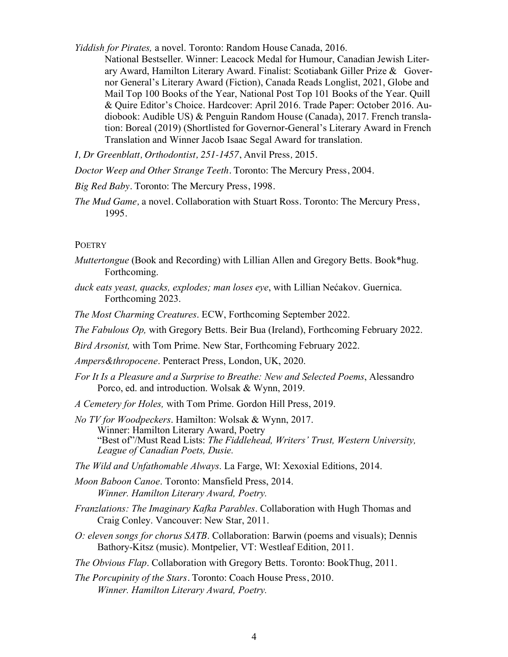*Yiddish for Pirates,* a novel. Toronto: Random House Canada, 2016.

National Bestseller. Winner: Leacock Medal for Humour, Canadian Jewish Literary Award, Hamilton Literary Award. Finalist: Scotiabank Giller Prize & Governor General's Literary Award (Fiction), Canada Reads Longlist, 2021, Globe and Mail Top 100 Books of the Year, National Post Top 101 Books of the Year. Quill & Quire Editor's Choice. Hardcover: April 2016. Trade Paper: October 2016. Audiobook: Audible US) & Penguin Random House (Canada), 2017. French translation: Boreal (2019) (Shortlisted for Governor-General's Literary Award in French Translation and Winner Jacob Isaac Segal Award for translation.

*I, Dr Greenblatt, Orthodontist, 251-1457*, Anvil Press*,* 2015.

*Doctor Weep and Other Strange Teeth.* Toronto: The Mercury Press, 2004.

*Big Red Baby*. Toronto: The Mercury Press, 1998.

*The Mud Game,* a novel. Collaboration with Stuart Ross. Toronto: The Mercury Press, 1995.

### POETRY

- *Muttertongue* (Book and Recording) with Lillian Allen and Gregory Betts. Book\*hug. Forthcoming.
- *duck eats yeast, quacks, explodes; man loses eye*, with Lillian Nećakov. Guernica. Forthcoming 2023.

*The Most Charming Creatures*. ECW, Forthcoming September 2022.

*The Fabulous Op,* with Gregory Betts. Beir Bua (Ireland), Forthcoming February 2022.

*Bird Arsonist,* with Tom Prime. New Star, Forthcoming February 2022.

*Ampers&thropocene*. Penteract Press, London, UK, 2020.

- *For It Is a Pleasure and a Surprise to Breathe: New and Selected Poems*, Alessandro Porco, ed. and introduction. Wolsak & Wynn, 2019.
- *A Cemetery for Holes,* with Tom Prime. Gordon Hill Press, 2019.
- *No TV for Woodpeckers*. Hamilton: Wolsak & Wynn, 2017. Winner: Hamilton Literary Award, Poetry "Best of"/Must Read Lists: *The Fiddlehead, Writers' Trust, Western University, League of Canadian Poets, Dusie.*

*The Wild and Unfathomable Always*. La Farge, WI: Xexoxial Editions, 2014.

*Moon Baboon Canoe*. Toronto: Mansfield Press, 2014. *Winner. Hamilton Literary Award, Poetry.*

- *Franzlations: The Imaginary Kafka Parables*. Collaboration with Hugh Thomas and Craig Conley. Vancouver: New Star, 2011.
- *O: eleven songs for chorus SATB*. Collaboration: Barwin (poems and visuals); Dennis Bathory-Kitsz (music). Montpelier, VT: Westleaf Edition, 2011.

*The Obvious Flap*. Collaboration with Gregory Betts. Toronto: BookThug, 2011.

*The Porcupinity of the Stars.* Toronto: Coach House Press, 2010. *Winner. Hamilton Literary Award, Poetry.*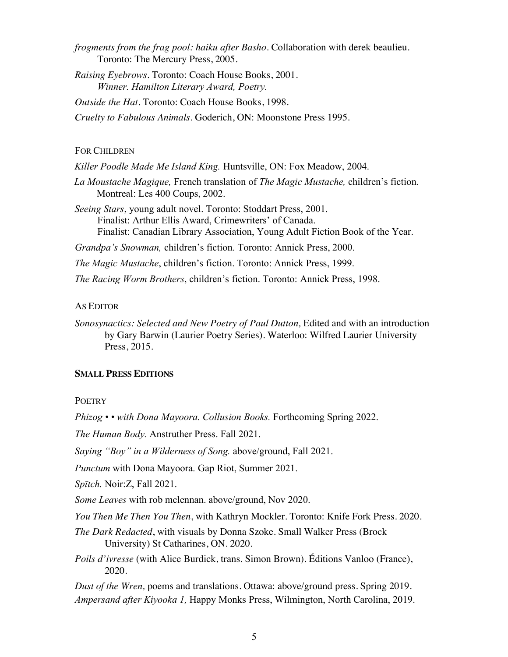- *frogments from the frag pool: haiku after Basho.* Collaboration with derek beaulieu. Toronto: The Mercury Press, 2005.
- *Raising Eyebrows.* Toronto: Coach House Books, 2001. *Winner. Hamilton Literary Award, Poetry.*

*Outside the Hat*. Toronto: Coach House Books, 1998.

*Cruelty to Fabulous Animals*. Goderich, ON: Moonstone Press 1995.

#### FOR CHILDREN

*Killer Poodle Made Me Island King.* Huntsville, ON: Fox Meadow, 2004.

*La Moustache Magique,* French translation of *The Magic Mustache,* children's fiction. Montreal: Les 400 Coups, 2002.

*Seeing Stars*, young adult novel. Toronto: Stoddart Press, 2001. Finalist: Arthur Ellis Award, Crimewriters' of Canada. Finalist: Canadian Library Association, Young Adult Fiction Book of the Year.

*Grandpa's Snowman,* children's fiction. Toronto: Annick Press, 2000.

*The Magic Mustache*, children's fiction. Toronto: Annick Press, 1999.

*The Racing Worm Brothers*, children's fiction. Toronto: Annick Press, 1998.

#### AS EDITOR

*Sonosynactics: Selected and New Poetry of Paul Dutton,* Edited and with an introduction by Gary Barwin (Laurier Poetry Series). Waterloo: Wilfred Laurier University Press, 2015.

### **SMALL PRESS EDITIONS**

### **POETRY**

*Phizog • • with Dona Mayoora. Collusion Books.* Forthcoming Spring 2022.

*The Human Body.* Anstruther Press. Fall 2021.

*Saying "Boy" in a Wilderness of Song.* above/ground, Fall 2021.

*Punctum* with Dona Mayoora. Gap Riot, Summer 2021.

*Spītch.* Noir:Z, Fall 2021.

*Some Leaves* with rob mclennan. above/ground, Nov 2020.

*You Then Me Then You Then*, with Kathryn Mockler. Toronto: Knife Fork Press. 2020.

*The Dark Redacted*, with visuals by Donna Szoke. Small Walker Press (Brock University) St Catharines, ON. 2020.

*Poils d'ivresse* (with Alice Burdick, trans. Simon Brown). Éditions Vanloo (France), 2020.

*Dust of the Wren,* poems and translations. Ottawa: above/ground press. Spring 2019. *Ampersand after Kiyooka 1,* Happy Monks Press, Wilmington, North Carolina, 2019.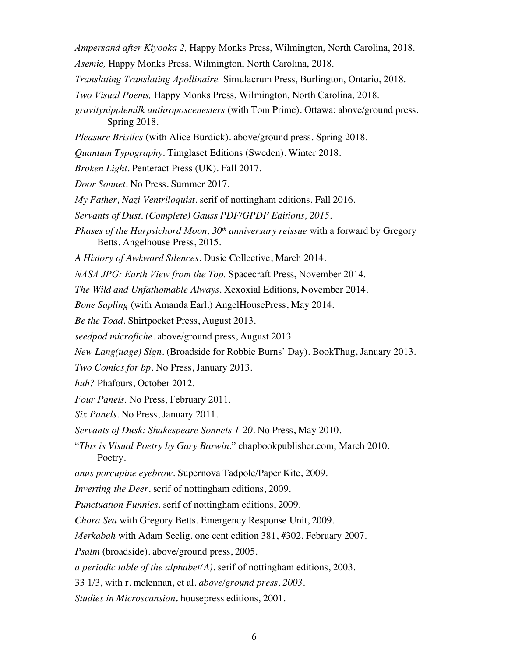*Ampersand after Kiyooka 2,* Happy Monks Press, Wilmington, North Carolina, 2018.

*Asemic,* Happy Monks Press, Wilmington, North Carolina, 2018.

*Translating Translating Apollinaire.* Simulacrum Press, Burlington, Ontario, 2018.

*Two Visual Poems,* Happy Monks Press, Wilmington, North Carolina, 2018.

*gravitynipplemilk anthroposcenesters* (with Tom Prime). Ottawa: above/ground press. Spring 2018.

*Pleasure Bristles* (with Alice Burdick). above/ground press. Spring 2018.

*Quantum Typography*. Timglaset Editions (Sweden). Winter 2018.

*Broken Light.* Penteract Press (UK). Fall 2017.

*Door Sonnet*. No Press. Summer 2017.

*My Father, Nazi Ventriloquist*. serif of nottingham editions. Fall 2016.

*Servants of Dust. (Complete) Gauss PDF/GPDF Editions, 2015.*

*Phases of the Harpsichord Moon, 30th anniversary reissue* with a forward by Gregory Betts. Angelhouse Press, 2015.

*A History of Awkward Silences*. Dusie Collective, March 2014.

*NASA JPG: Earth View from the Top.* Spacecraft Press, November 2014.

*The Wild and Unfathomable Always*. Xexoxial Editions, November 2014.

*Bone Sapling* (with Amanda Earl.) AngelHousePress, May 2014.

*Be the Toad.* Shirtpocket Press, August 2013.

*seedpod microfiche.* above/ground press, August 2013.

*New Lang(uage) Sign*. (Broadside for Robbie Burns' Day). BookThug, January 2013.

*Two Comics for bp*. No Press, January 2013.

*huh?* Phafours, October 2012.

*Four Panels*. No Press, February 2011.

*Six Panels*. No Press, January 2011.

*Servants of Dusk: Shakespeare Sonnets 1-20.* No Press, May 2010.

"*This is Visual Poetry by Gary Barwin.*" chapbookpublisher.com, March 2010. Poetry.

*anus porcupine eyebrow.* Supernova Tadpole/Paper Kite, 2009.

*Inverting the Deer.* serif of nottingham editions, 2009.

*Punctuation Funnies*. serif of nottingham editions, 2009.

*Chora Sea* with Gregory Betts. Emergency Response Unit, 2009.

*Merkabah* with Adam Seelig. one cent edition 381, #302, February 2007.

*Psalm* (broadside). above/ground press, 2005.

*a periodic table of the alphabet(A).* serif of nottingham editions, 2003.

33 1/3, with r. mclennan, et al. *above/ground press, 2003.*

*Studies in Microscansion.* housepress editions, 2001.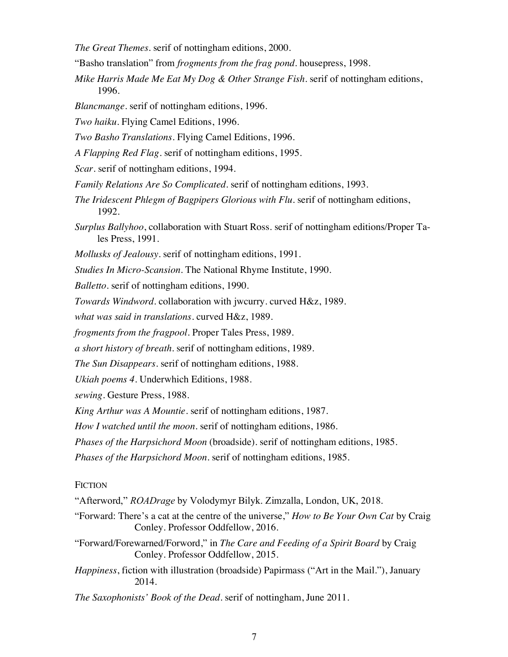*The Great Themes*. serif of nottingham editions, 2000.

- "Basho translation" from *frogments from the frag pond*. housepress, 1998.
- *Mike Harris Made Me Eat My Dog & Other Strange Fish*. serif of nottingham editions, 1996.
- *Blancmange.* serif of nottingham editions, 1996.
- *Two haiku*. Flying Camel Editions, 1996.
- *Two Basho Translations*. Flying Camel Editions, 1996.
- *A Flapping Red Flag*. serif of nottingham editions, 1995.
- *Scar*. serif of nottingham editions, 1994.
- *Family Relations Are So Complicated*. serif of nottingham editions, 1993.
- *The Iridescent Phlegm of Bagpipers Glorious with Flu.* serif of nottingham editions, 1992.
- *Surplus Ballyhoo*, collaboration with Stuart Ross. serif of nottingham editions/Proper Tales Press, 1991.
- *Mollusks of Jealousy*. serif of nottingham editions, 1991.
- *Studies In Micro-Scansion*. The National Rhyme Institute, 1990.
- *Balletto*. serif of nottingham editions, 1990.
- *Towards Windword.* collaboration with jwcurry. curved H&z, 1989.
- *what was said in translations*. curved H&z, 1989.
- *frogments from the fragpool*. Proper Tales Press, 1989.
- *a short history of breath*. serif of nottingham editions, 1989.
- *The Sun Disappears*. serif of nottingham editions, 1988.
- *Ukiah poems 4*. Underwhich Editions, 1988.
- *sewing*. Gesture Press, 1988.
- *King Arthur was A Mountie*. serif of nottingham editions, 1987.

*How I watched until the moon*. serif of nottingham editions, 1986.

*Phases of the Harpsichord Moon* (broadside). serif of nottingham editions, 1985.

*Phases of the Harpsichord Moon.* serif of nottingham editions, 1985.

### **FICTION**

- "Afterword," *ROADrage* by Volodymyr Bilyk. Zimzalla, London, UK, 2018.
- "Forward: There's a cat at the centre of the universe," *How to Be Your Own Cat* by Craig Conley. Professor Oddfellow, 2016.
- "Forward/Forewarned/Forword," in *The Care and Feeding of a Spirit Board* by Craig Conley. Professor Oddfellow, 2015.
- *Happiness*, fiction with illustration (broadside) Papirmass ("Art in the Mail."), January 2014.

*The Saxophonists' Book of the Dead*. serif of nottingham, June 2011.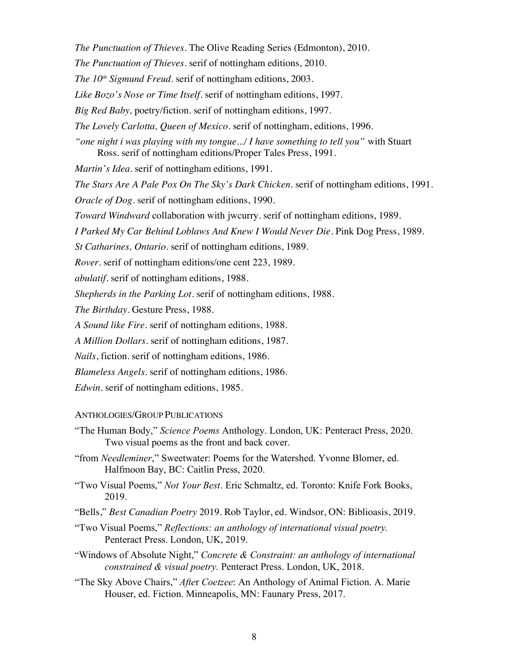*The Punctuation of Thieves.* The Olive Reading Series (Edmonton), 2010.

*The Punctuation of Thieves.* serif of nottingham editions, 2010.

*The 10<sup>th</sup> Sigmund Freud.* serif of nottingham editions, 2003.

*Like Bozo's Nose or Time Itself*. serif of nottingham editions, 1997.

*Big Red Baby,* poetry/fiction. serif of nottingham editions, 1997.

*The Lovely Carlotta, Queen of Mexico*. serif of nottingham, editions, 1996.

*"one night i was playing with my tongue.../ I have something to tell you"* with Stuart Ross. serif of nottingham editions/Proper Tales Press, 1991.

*Martin's Idea*. serif of nottingham editions, 1991.

*The Stars Are A Pale Pox On The Sky's Dark Chicken*. serif of nottingham editions, 1991.

*Oracle of Dog*. serif of nottingham editions, 1990.

*Toward Windward* collaboration with jwcurry. serif of nottingham editions, 1989.

*I Parked My Car Behind Loblaws And Knew I Would Never Die*. Pink Dog Press, 1989.

*St Catharines, Ontario*. serif of nottingham editions, 1989.

*Rover*. serif of nottingham editions/one cent 223, 1989.

*abulatif*. serif of nottingham editions, 1988.

*Shepherds in the Parking Lot*. serif of nottingham editions, 1988.

*The Birthday*. Gesture Press, 1988.

*A Sound like Fire*. serif of nottingham editions, 1988.

*A Million Dollars*. serif of nottingham editions, 1987.

*Nails*, fiction. serif of nottingham editions, 1986.

*Blameless Angels*. serif of nottingham editions, 1986.

*Edwin*. serif of nottingham editions, 1985.

### ANTHOLOGIES/GROUP PUBLICATIONS

"The Human Body," *Science Poems* Anthology. London, UK: Penteract Press, 2020. Two visual poems as the front and back cover.

"from *Needleminer*," Sweetwater: Poems for the Watershed. Yvonne Blomer, ed. Halfmoon Bay, BC: Caitlin Press, 2020.

"Two Visual Poems," *Not Your Best*. Eric Schmaltz, ed. Toronto: Knife Fork Books, 2019.

- "Bells," *Best Canadian Poetry* 2019. Rob Taylor, ed. Windsor, ON: Biblioasis, 2019.
- "Two Visual Poems," *Reflections: an anthology of international visual poetry.* Penteract Press. London, UK, 2019.
- "Windows of Absolute Night," *Concrete & Constraint: an anthology of international constrained & visual poetry.* Penteract Press. London, UK, 2018.

"The Sky Above Chairs," *Afte*r *Coetzee*: An Anthology of Animal Fiction. A. Marie Houser, ed. Fiction. Minneapolis, MN: Faunary Press, 2017.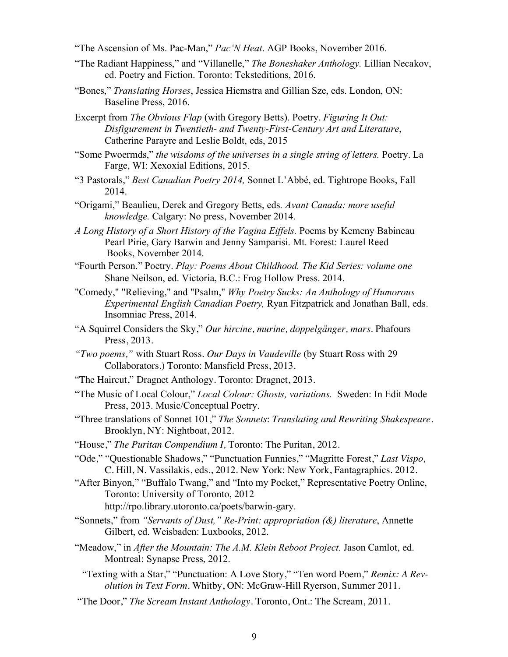"The Ascension of Ms. Pac-Man," *Pac'N Heat*. AGP Books, November 2016.

- "The Radiant Happiness," and "Villanelle," *The Boneshaker Anthology.* Lillian Necakov, ed. Poetry and Fiction. Toronto: Teksteditions, 2016.
- "Bones," *Translating Horses*, Jessica Hiemstra and Gillian Sze, eds. London, ON: Baseline Press, 2016.
- Excerpt from *The Obvious Flap* (with Gregory Betts). Poetry. *Figuring It Out: Disfigurement in Twentieth- and Twenty-First-Century Art and Literature*, Catherine Parayre and Leslie Boldt, eds, 2015
- "Some Pwoermds," *the wisdoms of the universes in a single string of letters.* Poetry. La Farge, WI: Xexoxial Editions, 2015.
- "3 Pastorals," *Best Canadian Poetry 2014,* Sonnet L'Abbé, ed. Tightrope Books, Fall 2014.
- "Origami," Beaulieu, Derek and Gregory Betts, eds*. Avant Canada: more useful knowledge.* Calgary: No press, November 2014.
- *A Long History of a Short History of the Vagina Eiffels.* Poems by Kemeny Babineau Pearl Pirie, Gary Barwin and Jenny Samparisi. Mt. Forest: Laurel Reed Books, November 2014.
- "Fourth Person." Poetry. *Play: Poems About Childhood. The Kid Series: volume one* Shane Neilson, ed. Victoria, B.C.: Frog Hollow Press. 2014.
- "Comedy," "Relieving," and "Psalm," *Why Poetry Sucks: An Anthology of Humorous Experimental English Canadian Poetry,* Ryan Fitzpatrick and Jonathan Ball, eds. Insomniac Press, 2014.
- "A Squirrel Considers the Sky," *Our hircine, murine, doppelgänger, mars*. Phafours Press, 2013.
- *"Two poems,"* with Stuart Ross. *Our Days in Vaudeville* (by Stuart Ross with 29 Collaborators.) Toronto: Mansfield Press, 2013.
- "The Haircut," Dragnet Anthology. Toronto: Dragnet, 2013.
- "The Music of Local Colour," *Local Colour: Ghosts, variations.* Sweden: In Edit Mode Press, 2013. Music/Conceptual Poetry.
- "Three translations of Sonnet 101," *The Sonnets*: *Translating and Rewriting Shakespeare.* Brooklyn, NY: Nightboat, 2012.
- "House," *The Puritan Compendium I,* Toronto: The Puritan, 2012.
- "Ode," "Questionable Shadows," "Punctuation Funnies," "Magritte Forest," *Last Vispo,* C. Hill, N. Vassilakis, eds., 2012. New York: New York, Fantagraphics. 2012.
- "After Binyon," "Buffalo Twang," and "Into my Pocket," Representative Poetry Online, Toronto: University of Toronto, 2012
	- http://rpo.library.utoronto.ca/poets/barwin-gary.
- "Sonnets," from *"Servants of Dust," Re-Print: appropriation (&) literature*, Annette Gilbert, ed. Weisbaden: Luxbooks, 2012.
- "Meadow," in *After the Mountain: The A.M. Klein Reboot Project.* Jason Camlot, ed. Montreal: Synapse Press, 2012.
	- "Texting with a Star," "Punctuation: A Love Story," "Ten word Poem," *Remix: A Revolution in Text Form.* Whitby, ON: McGraw-Hill Ryerson, Summer 2011.
- "The Door," *The Scream Instant Anthology.* Toronto, Ont.: The Scream, 2011.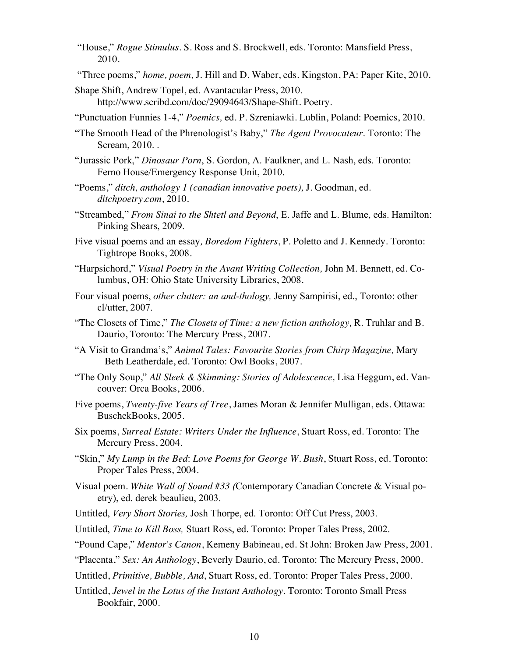- "House," *Rogue Stimulus.* S. Ross and S. Brockwell, eds. Toronto: Mansfield Press, 2010.
- "Three poems," *home, poem,* J. Hill and D. Waber, eds. Kingston, PA: Paper Kite, 2010.
- Shape Shift, Andrew Topel, ed. Avantacular Press, 2010. http://www.scribd.com/doc/29094643/Shape-Shift. Poetry.
- "Punctuation Funnies 1-4," *Poemics,* ed. P. Szreniawki. Lublin, Poland: Poemics, 2010.
- "The Smooth Head of the Phrenologist's Baby," *The Agent Provocateur*. Toronto: The Scream, 2010. .
- "Jurassic Pork," *Dinosaur Porn*, S. Gordon, A. Faulkner, and L. Nash, eds. Toronto: Ferno House/Emergency Response Unit, 2010.
- "Poems," *ditch, anthology 1 (canadian innovative poets),* J. Goodman, ed. *ditchpoetry.com*, 2010.
- "Streambed," *From Sinai to the Shtetl and Beyond*, E. Jaffe and L. Blume, eds. Hamilton: Pinking Shears, 2009.
- Five visual poems and an essay*, Boredom Fighters*, P. Poletto and J. Kennedy. Toronto: Tightrope Books, 2008.
- "Harpsichord," *Visual Poetry in the Avant Writing Collection,* John M. Bennett, ed. Columbus, OH: Ohio State University Libraries, 2008.
- Four visual poems, *other clutter: an and-thology,* Jenny Sampirisi, ed., Toronto: other cl/utter, 2007.
- "The Closets of Time," *The Closets of Time: a new fiction anthology,* R. Truhlar and B. Daurio, Toronto: The Mercury Press, 2007.
- "A Visit to Grandma's," *Animal Tales: Favourite Stories from Chirp Magazine,* Mary Beth Leatherdale, ed. Toronto: Owl Books, 2007.
- "The Only Soup," *All Sleek & Skimming: Stories of Adolescence,* Lisa Heggum, ed. Vancouver: Orca Books, 2006.
- Five poems, *Twenty-five Years of Tree*, James Moran & Jennifer Mulligan, eds. Ottawa: BuschekBooks, 2005.
- Six poems, *Surreal Estate: Writers Under the Influence*, Stuart Ross, ed. Toronto: The Mercury Press, 2004.
- "Skin," *My Lump in the Bed*: *Love Poems for George W. Bush*, Stuart Ross, ed. Toronto: Proper Tales Press, 2004.
- Visual poem. *White Wall of Sound #33 (*Contemporary Canadian Concrete & Visual poetry), ed. derek beaulieu, 2003.
- Untitled, *Very Short Stories,* Josh Thorpe, ed. Toronto: Off Cut Press, 2003.
- Untitled, *Time to Kill Boss,* Stuart Ross, ed. Toronto: Proper Tales Press, 2002.
- "Pound Cape," *Mentor's Canon*, Kemeny Babineau, ed. St John: Broken Jaw Press, 2001.
- "Placenta," *Sex: An Anthology*, Beverly Daurio, ed. Toronto: The Mercury Press, 2000.
- Untitled, *Primitive, Bubble, And*, Stuart Ross, ed. Toronto: Proper Tales Press, 2000.
- Untitled, *Jewel in the Lotus of the Instant Anthology*. Toronto: Toronto Small Press Bookfair, 2000.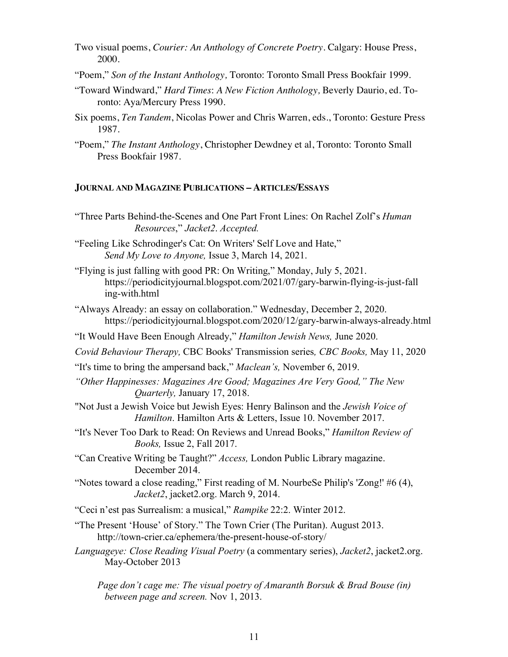- Two visual poems, *Courier: An Anthology of Concrete Poetry*. Calgary: House Press, 2000.
- "Poem," *Son of the Instant Anthology,* Toronto: Toronto Small Press Bookfair 1999.
- "Toward Windward," *Hard Times*: *A New Fiction Anthology,* Beverly Daurio, ed. Toronto: Aya/Mercury Press 1990.
- Six poems, *Ten Tandem*, Nicolas Power and Chris Warren, eds., Toronto: Gesture Press 1987.
- "Poem," *The Instant Anthology*, Christopher Dewdney et al, Toronto: Toronto Small Press Bookfair 1987.

### **JOURNAL AND MAGAZINE PUBLICATIONS – ARTICLES/ESSAYS**

"Three Parts Behind-the-Scenes and One Part Front Lines: On Rachel Zolf's *Human Resources*," *Jacket2*. *Accepted.*

"Feeling Like Schrodinger's Cat: On Writers' Self Love and Hate," *Send My Love to Anyone,* Issue 3, March 14, 2021.

"Flying is just falling with good PR: On Writing," Monday, July 5, 2021. https://periodicityjournal.blogspot.com/2021/07/gary-barwin-flying-is-just-fall ing-with.html

"Always Already: an essay on collaboration." Wednesday, December 2, 2020. https://periodicityjournal.blogspot.com/2020/12/gary-barwin-always-already.html

"It Would Have Been Enough Already," *Hamilton Jewish News,* June 2020.

*Covid Behaviour Therapy,* CBC Books' Transmission series*, CBC Books,* May 11, 2020

- "It's time to bring the ampersand back," *Maclean's,* November 6, 2019.
- *"Other Happinesses: Magazines Are Good; Magazines Are Very Good," The New Quarterly,* January 17, 2018.
- "Not Just a Jewish Voice but Jewish Eyes: Henry Balinson and the *Jewish Voice of Hamilton*. Hamilton Arts & Letters, Issue 10. November 2017.
- "It's Never Too Dark to Read: On Reviews and Unread Books," *Hamilton Review of Books,* Issue 2, Fall 2017.

"Can Creative Writing be Taught?" *Access,* London Public Library magazine. December 2014.

"Notes toward a close reading," First reading of M. NourbeSe Philip's 'Zong!' #6 (4), *Jacket2*, jacket2.org. March 9, 2014.

"Ceci n'est pas Surrealism: a musical," *Rampike* 22:2. Winter 2012.

- "The Present 'House' of Story." The Town Crier (The Puritan). August 2013. http://town-crier.ca/ephemera/the-present-house-of-story/
- *Languageye: Close Reading Visual Poetry* (a commentary series), *Jacket2*, jacket2.org. May-October 2013

*Page don't cage me: The visual poetry of Amaranth Borsuk & Brad Bouse (in) between page and screen.* Nov 1, 2013.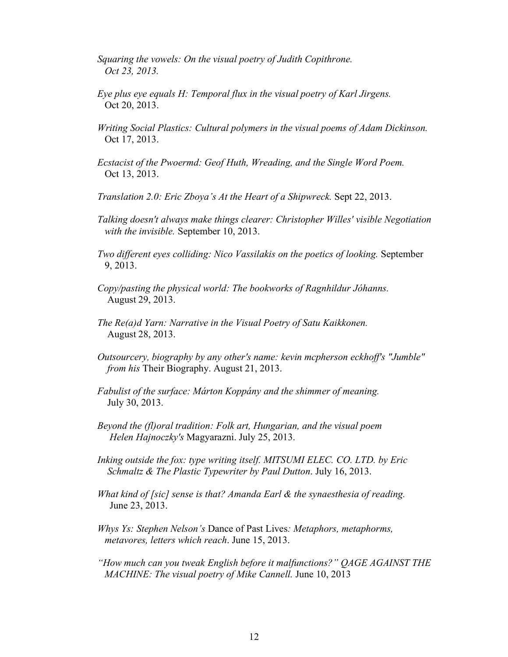- *Squaring the vowels: On the visual poetry of Judith Copithrone. Oct 23, 2013.*
- *Eye plus eye equals H: Temporal flux in the visual poetry of Karl Jirgens.* Oct 20, 2013.
- *Writing Social Plastics: Cultural polymers in the visual poems of Adam Dickinson.* Oct 17, 2013.
- *Ecstacist of the Pwoermd: Geof Huth, Wreading, and the Single Word Poem.* Oct 13, 2013.
- *Translation 2.0: Eric Zboya's At the Heart of a Shipwreck.* Sept 22, 2013.
- *Talking doesn't always make things clearer: Christopher Willes' visible Negotiation with the invisible.* September 10, 2013.
- *Two different eyes colliding: Nico Vassilakis on the poetics of looking.* September 9, 2013.
- *Copy/pasting the physical world: The bookworks of Ragnhildur Jóhanns.* August 29, 2013.
- *The Re(a)d Yarn: Narrative in the Visual Poetry of Satu Kaikkonen.* August 28, 2013.
- *Outsourcery, biography by any other's name: kevin mcpherson eckhoff's "Jumble" from his* Their Biography. August 21, 2013.
- *Fabulist of the surface: Márton Koppány and the shimmer of meaning.* July 30, 2013.
- *Beyond the (fl)oral tradition: Folk art, Hungarian, and the visual poem Helen Hajnoczky's* Magyarazni. July 25, 2013.
- *Inking outside the fox: type writing itself. MITSUMI ELEC. CO. LTD. by Eric Schmaltz & The Plastic Typewriter by Paul Dutton*. July 16, 2013.
- *What kind of [sic] sense is that? Amanda Earl & the synaesthesia of reading.* June 23, 2013.
- *Whys Ys: Stephen Nelson's* Dance of Past Lives*: Metaphors, metaphorms, metavores, letters which reach*. June 15, 2013.
- *"How much can you tweak English before it malfunctions?" QAGE AGAINST THE MACHINE: The visual poetry of Mike Cannell.* June 10, 2013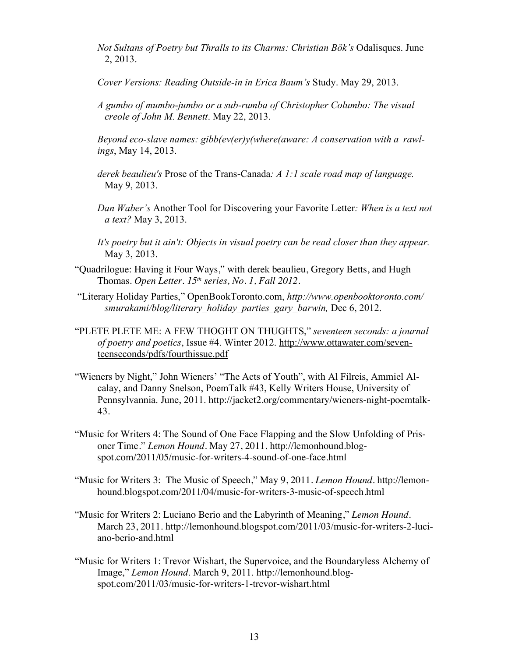- *Not Sultans of Poetry but Thralls to its Charms: Christian Bök's* Odalisques. June 2, 2013.
- *Cover Versions: Reading Outside-in in Erica Baum's* Study. May 29, 2013.
- *A gumbo of mumbo-jumbo or a sub-rumba of Christopher Columbo: The visual creole of John M. Bennett*. May 22, 2013.
- *Beyond eco-slave names: gibb(ev(er)y(where(aware: A conservation with a rawlings*, May 14, 2013.
- *derek beaulieu's* Prose of the Trans-Canada*: A 1:1 scale road map of language.* May 9, 2013.
- *Dan Waber's* Another Tool for Discovering your Favorite Letter*: When is a text not a text?* May 3, 2013.
- *It's poetry but it ain't: Objects in visual poetry can be read closer than they appear.* May 3, 2013.
- "Quadrilogue: Having it Four Ways," with derek beaulieu, Gregory Betts, and Hugh Thomas. *Open Letter. 15th series, No. 1, Fall 2012.*
- "Literary Holiday Parties," OpenBookToronto.com, *http://www.openbooktoronto.com/ smurakami/blog/literary\_holiday\_parties\_gary\_barwin,* Dec 6, 2012.
- "PLETE PLETE ME: A FEW THOGHT ON THUGHTS," *seventeen seconds: a journal of poetry and poetics*, Issue #4. Winter 2012. http://www.ottawater.com/seventeenseconds/pdfs/fourthissue.pdf
- "Wieners by Night," John Wieners' "The Acts of Youth", with Al Filreis, Ammiel Alcalay, and Danny Snelson, PoemTalk #43, Kelly Writers House, University of Pennsylvannia. June, 2011. http://jacket2.org/commentary/wieners-night-poemtalk-43.
- "Music for Writers 4: The Sound of One Face Flapping and the Slow Unfolding of Prisoner Time." *Lemon Hound.* May 27, 2011. http://lemonhound.blogspot.com/2011/05/music-for-writers-4-sound-of-one-face.html
- "Music for Writers 3: The Music of Speech," May 9, 2011. *Lemon Hound.* http://lemonhound.blogspot.com/2011/04/music-for-writers-3-music-of-speech.html
- "Music for Writers 2: Luciano Berio and the Labyrinth of Meaning," *Lemon Hound.* March 23, 2011. http://lemonhound.blogspot.com/2011/03/music-for-writers-2-luciano-berio-and.html
- "Music for Writers 1: Trevor Wishart, the Supervoice, and the Boundaryless Alchemy of Image," *Lemon Hound*. March 9, 2011. http://lemonhound.blogspot.com/2011/03/music-for-writers-1-trevor-wishart.html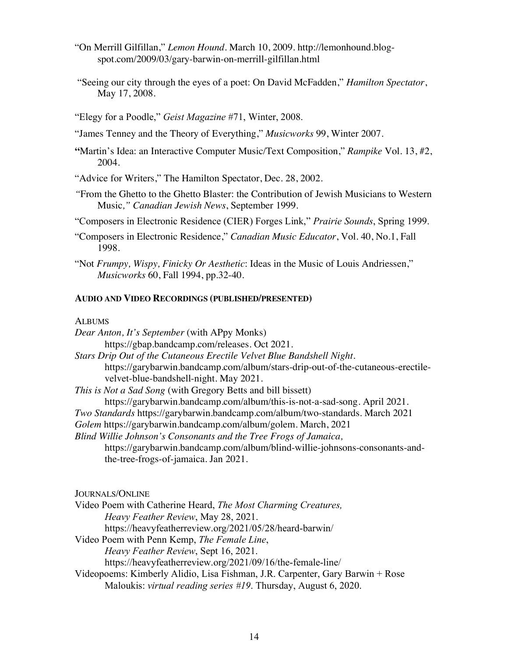"On Merrill Gilfillan," *Lemon Hound*. March 10, 2009. http://lemonhound.blogspot.com/2009/03/gary-barwin-on-merrill-gilfillan.html

"Seeing our city through the eyes of a poet: On David McFadden," *Hamilton Spectator*, May 17, 2008.

"Elegy for a Poodle," *Geist Magazine* #71, Winter, 2008.

"James Tenney and the Theory of Everything," *Musicworks* 99, Winter 2007.

**"**Martin's Idea: an Interactive Computer Music/Text Composition," *Rampike* Vol. 13, #2, 2004.

"Advice for Writers," The Hamilton Spectator, Dec. 28, 2002.

*"*From the Ghetto to the Ghetto Blaster: the Contribution of Jewish Musicians to Western Music*," Canadian Jewish News*, September 1999.

"Composers in Electronic Residence (CIER) Forges Link," *Prairie Sounds*, Spring 1999.

- "Composers in Electronic Residence," *Canadian Music Educator*, Vol. 40, No.1, Fall 1998.
- "Not *Frumpy, Wispy, Finicky Or Aesthetic*: Ideas in the Music of Louis Andriessen," *Musicworks* 60, Fall 1994, pp.32-40.

### **AUDIO AND VIDEO RECORDINGS (PUBLISHED/PRESENTED)**

## **ALBUMS**

| Dear Anton, It's September (with APpy Monks)                                    |
|---------------------------------------------------------------------------------|
| https://gbap.bandcamp.com/releases. Oct 2021.                                   |
| Stars Drip Out of the Cutaneous Erectile Velvet Blue Bandshell Night.           |
| https://garybarwin.bandcamp.com/album/stars-drip-out-of-the-cutaneous-erectile- |
| velvet-blue-bandshell-night. May 2021.                                          |
| <i>This is Not a Sad Song</i> (with Gregory Betts and bill bissett)             |
| https://garybarwin.bandcamp.com/album/this-is-not-a-sad-song. April 2021.       |
| Two Standards https://garybarwin.bandcamp.com/album/two-standards. March 2021   |
| Golem https://garybarwin.bandcamp.com/album/golem. March, 2021                  |
| Blind Willie Johnson's Consonants and the Tree Frogs of Jamaica,                |
| https://garybarwin.bandcamp.com/album/blind-willie-johnsons-consonants-and-     |
| the-tree-frogs-of-jamaica. Jan 2021.                                            |
|                                                                                 |
| <b>JOURNALS/ONLINE</b>                                                          |
| Video Poem with Catherine Heard, The Most Charming Creatures,                   |
| <i>Heavy Feather Review, May 28, 2021.</i>                                      |
| https://heavyfeatherreview.org/2021/05/28/heard-barwin/                         |
| Video Poem with Penn Kemp, The Female Line,                                     |
| Heavy Feather Review, Sept 16, 2021.                                            |
| https://heavyfeatherreview.org/2021/09/16/the-female-line/                      |

Videopoems: Kimberly Alidio, Lisa Fishman, J.R. Carpenter, Gary Barwin + Rose Maloukis: *virtual reading series #19*. Thursday, August 6, 2020.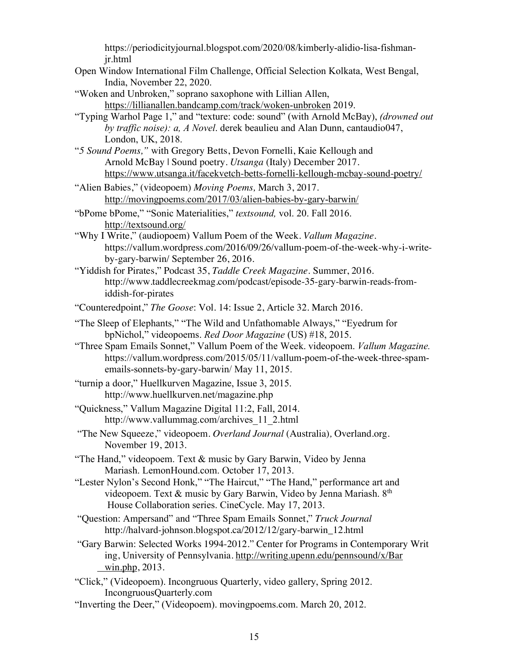https://periodicityjournal.blogspot.com/2020/08/kimberly-alidio-lisa-fishmanjr.html

- Open Window International Film Challenge, Official Selection Kolkata, West Bengal, India, November 22, 2020.
- "Woken and Unbroken," soprano saxophone with Lillian Allen, https://lillianallen.bandcamp.com/track/woken-unbroken 2019.
- "Typing Warhol Page 1," and "texture: code: sound" (with Arnold McBay), *(drowned out by traffic noise): a, A Novel*. derek beaulieu and Alan Dunn, cantaudio047, London, UK, 2018.
- "*5 Sound Poems,"* with Gregory Betts, Devon Fornelli, Kaie Kellough and Arnold McBay | Sound poetry. *Utsanga* (Italy) December 2017. https://www.utsanga.it/facekvetch-betts-fornelli-kellough-mcbay-sound-poetry/
- "Alien Babies," (videopoem) *Moving Poems,* March 3, 2017. http://movingpoems.com/2017/03/alien-babies-by-gary-barwin/
- "bPome bPome," "Sonic Materialities," *textsound,* vol. 20. Fall 2016. http://textsound.org/
- "Why I Write," (audiopoem) Vallum Poem of the Week. *Vallum Magazine.* https://vallum.wordpress.com/2016/09/26/vallum-poem-of-the-week-why-i-writeby-gary-barwin/ September 26, 2016.
- "Yiddish for Pirates," Podcast 35, *Taddle Creek Magazine.* Summer, 2016. http://www.taddlecreekmag.com/podcast/episode-35-gary-barwin-reads-fromiddish-for-pirates
- "Counteredpoint," *The Goose*: Vol. 14: Issue 2, Article 32. March 2016.
- "The Sleep of Elephants," "The Wild and Unfathomable Always," "Eyedrum for bpNichol," videopoems. *Red Door Magazine* (US) #18, 2015.
- "Three Spam Emails Sonnet," Vallum Poem of the Week. videopoem. *Vallum Magazine.* https://vallum.wordpress.com/2015/05/11/vallum-poem-of-the-week-three-spamemails-sonnets-by-gary-barwin/ May 11, 2015.
- "turnip a door," Huellkurven Magazine, Issue 3, 2015. http://www.huellkurven.net/magazine.php
- "Quickness," Vallum Magazine Digital 11:2, Fall, 2014. http://www.vallummag.com/archives\_11\_2.html
- "The New Squeeze," videopoem. *Overland Journal* (Australia)*,* Overland.org. November 19, 2013.
- "The Hand," videopoem. Text & music by Gary Barwin, Video by Jenna Mariash. LemonHound.com. October 17, 2013.
- "Lester Nylon's Second Honk," "The Haircut," "The Hand," performance art and videopoem. Text & music by Gary Barwin, Video by Jenna Mariash.  $8<sup>th</sup>$ House Collaboration series. CineCycle. May 17, 2013.
- "Question: Ampersand" and "Three Spam Emails Sonnet," *Truck Journal* http://halvard-johnson.blogspot.ca/2012/12/gary-barwin\_12.html
- "Gary Barwin: Selected Works 1994-2012." Center for Programs in Contemporary Writ ing, University of Pennsylvania. http://writing.upenn.edu/pennsound/x/Bar win.php, 2013.
- "Click," (Videopoem). Incongruous Quarterly, video gallery, Spring 2012. IncongruousQuarterly.com
- "Inverting the Deer," (Videopoem). movingpoems.com. March 20, 2012.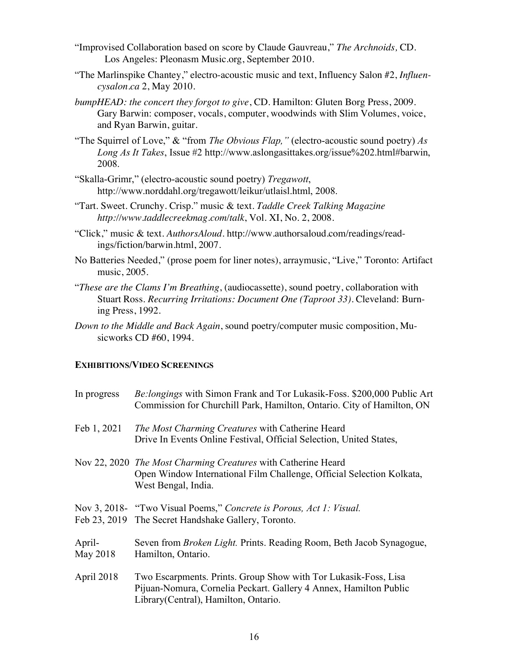- "Improvised Collaboration based on score by Claude Gauvreau," *The Archnoids,* CD. Los Angeles: Pleonasm Music.org, September 2010.
- "The Marlinspike Chantey," electro-acoustic music and text, Influency Salon #2, *Influencysalon.ca* 2, May 2010.
- *bumpHEAD: the concert they forgot to give*, CD. Hamilton: Gluten Borg Press, 2009. Gary Barwin: composer, vocals, computer, woodwinds with Slim Volumes, voice, and Ryan Barwin, guitar.
- "The Squirrel of Love," & "from *The Obvious Flap,"* (electro-acoustic sound poetry) *As Long As It Takes*, Issue #2 http://www.aslongasittakes.org/issue%202.html#barwin, 2008.
- "Skalla-Grimr," (electro-acoustic sound poetry) *Tregawott*, http://www.norddahl.org/tregawott/leikur/utlaisl.html, 2008.
- "Tart. Sweet. Crunchy. Crisp." music & text. *Taddle Creek Talking Magazine http://www.taddlecreekmag.com/talk*, Vol. XI, No. 2, 2008.
- "Click," music & text. *AuthorsAloud*. http://www.authorsaloud.com/readings/readings/fiction/barwin.html, 2007.
- No Batteries Needed," (prose poem for liner notes), arraymusic, "Live," Toronto: Artifact music, 2005.
- "*These are the Clams I'm Breathing*, (audiocassette), sound poetry, collaboration with Stuart Ross. *Recurring Irritations: Document One (Taproot 33).* Cleveland: Burning Press, 1992.
- *Down to the Middle and Back Again*, sound poetry/computer music composition, Musicworks CD #60, 1994.

### **EXHIBITIONS/VIDEO SCREENINGS**

| In progress        | Be:longings with Simon Frank and Tor Lukasik-Foss. \$200,000 Public Art<br>Commission for Churchill Park, Hamilton, Ontario. City of Hamilton, ON                             |
|--------------------|-------------------------------------------------------------------------------------------------------------------------------------------------------------------------------|
| Feb 1, 2021        | The Most Charming Creatures with Catherine Heard<br>Drive In Events Online Festival, Official Selection, United States,                                                       |
|                    | Nov 22, 2020 The Most Charming Creatures with Catherine Heard<br>Open Window International Film Challenge, Official Selection Kolkata,<br>West Bengal, India.                 |
|                    | Nov 3, 2018- "Two Visual Poems," Concrete is Porous, Act 1: Visual.<br>Feb 23, 2019 The Secret Handshake Gallery, Toronto.                                                    |
| April-<br>May 2018 | Seven from <i>Broken Light</i> . Prints. Reading Room, Beth Jacob Synagogue,<br>Hamilton, Ontario.                                                                            |
| April 2018         | Two Escarpments. Prints. Group Show with Tor Lukasik-Foss, Lisa<br>Pijuan-Nomura, Cornelia Peckart. Gallery 4 Annex, Hamilton Public<br>Library (Central), Hamilton, Ontario. |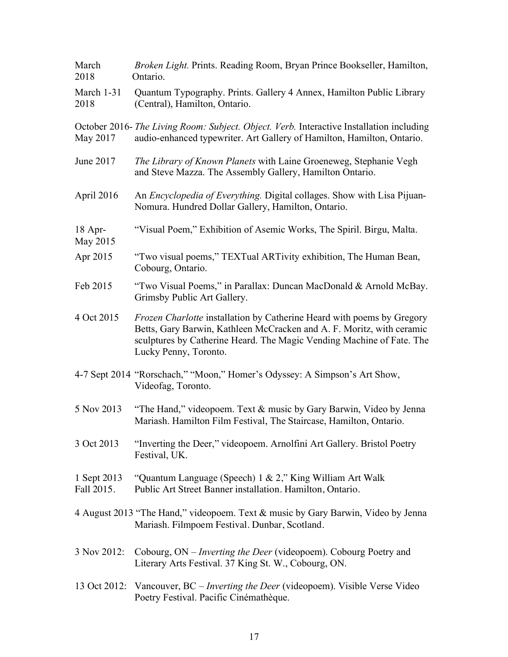| March<br>2018             | Broken Light. Prints. Reading Room, Bryan Prince Bookseller, Hamilton,<br>Ontario.                                                                                                                                                                |
|---------------------------|---------------------------------------------------------------------------------------------------------------------------------------------------------------------------------------------------------------------------------------------------|
| March 1-31<br>2018        | Quantum Typography. Prints. Gallery 4 Annex, Hamilton Public Library<br>(Central), Hamilton, Ontario.                                                                                                                                             |
| May 2017                  | October 2016- The Living Room: Subject. Object. Verb. Interactive Installation including<br>audio-enhanced typewriter. Art Gallery of Hamilton, Hamilton, Ontario.                                                                                |
| June 2017                 | The Library of Known Planets with Laine Groeneweg, Stephanie Vegh<br>and Steve Mazza. The Assembly Gallery, Hamilton Ontario.                                                                                                                     |
| April 2016                | An <i>Encyclopedia of Everything</i> . Digital collages. Show with Lisa Pijuan-<br>Nomura. Hundred Dollar Gallery, Hamilton, Ontario.                                                                                                             |
| $18$ Apr-<br>May 2015     | "Visual Poem," Exhibition of Asemic Works, The Spiril. Birgu, Malta.                                                                                                                                                                              |
| Apr 2015                  | "Two visual poems," TEXTual ARTivity exhibition, The Human Bean,<br>Cobourg, Ontario.                                                                                                                                                             |
| Feb 2015                  | "Two Visual Poems," in Parallax: Duncan MacDonald & Arnold McBay.<br>Grimsby Public Art Gallery.                                                                                                                                                  |
| 4 Oct 2015                | Frozen Charlotte installation by Catherine Heard with poems by Gregory<br>Betts, Gary Barwin, Kathleen McCracken and A. F. Moritz, with ceramic<br>sculptures by Catherine Heard. The Magic Vending Machine of Fate. The<br>Lucky Penny, Toronto. |
|                           | 4-7 Sept 2014 "Rorschach," "Moon," Homer's Odyssey: A Simpson's Art Show,<br>Videofag, Toronto.                                                                                                                                                   |
| 5 Nov 2013                | "The Hand," videopoem. Text & music by Gary Barwin, Video by Jenna<br>Mariash. Hamilton Film Festival, The Staircase, Hamilton, Ontario.                                                                                                          |
| 3 Oct 2013                | "Inverting the Deer," videopoem. Arnolfini Art Gallery. Bristol Poetry<br>Festival, UK.                                                                                                                                                           |
| 1 Sept 2013<br>Fall 2015. | "Quantum Language (Speech) 1 & 2," King William Art Walk<br>Public Art Street Banner installation. Hamilton, Ontario.                                                                                                                             |
|                           | 4 August 2013 "The Hand," videopoem. Text & music by Gary Barwin, Video by Jenna<br>Mariash. Filmpoem Festival. Dunbar, Scotland.                                                                                                                 |
| 3 Nov 2012:               | Cobourg, ON – <i>Inverting the Deer</i> (videopoem). Cobourg Poetry and<br>Literary Arts Festival. 37 King St. W., Cobourg, ON.                                                                                                                   |
|                           | 13 Oct 2012: Vancouver, BC – <i>Inverting the Deer</i> (videopoem). Visible Verse Video<br>Poetry Festival. Pacific Cinémathèque.                                                                                                                 |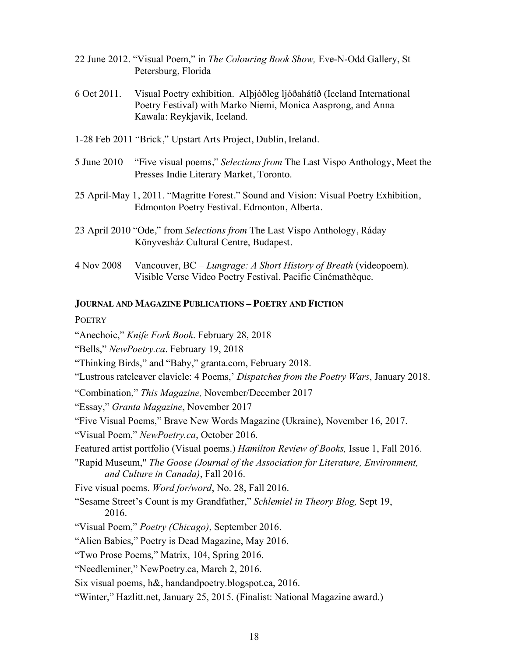- 22 June 2012. "Visual Poem," in *The Colouring Book Show,* Eve-N-Odd Gallery, St Petersburg, Florida
- 6 Oct 2011. Visual Poetry exhibition. Alþjóðleg ljóðahátíð (Iceland International Poetry Festival) with Marko Niemi, Monica Aasprong, and Anna Kawala: Reykjavik, Iceland.
- 1-28 Feb 2011 "Brick," Upstart Arts Project, Dublin, Ireland.
- 5 June 2010 "Five visual poems," *Selections from* The Last Vispo Anthology, Meet the Presses Indie Literary Market, Toronto.
- 25 April-May 1, 2011. "Magritte Forest." Sound and Vision: Visual Poetry Exhibition, Edmonton Poetry Festival. Edmonton, Alberta.
- 23 April 2010 "Ode," from *Selections from* The Last Vispo Anthology, Ráday Könyvesház Cultural Centre, Budapest.
- 4 Nov 2008 Vancouver, BC *Lungrage: A Short History of Breath* (videopoem). Visible Verse Video Poetry Festival. Pacific Cinémathèque.

### **JOURNAL AND MAGAZINE PUBLICATIONS – POETRY AND FICTION**

### **POETRY**

"Anechoic," *Knife Fork Book*. February 28, 2018

"Bells," *NewPoetry.ca*. February 19, 2018

"Thinking Birds," and "Baby," granta.com, February 2018.

"Lustrous ratcleaver clavicle: 4 Poems,' *Dispatches from the Poetry Wars*, January 2018.

"Combination," *This Magazine,* November/December 2017

"Essay," *Granta Magazine*, November 2017

"Five Visual Poems," Brave New Words Magazine (Ukraine), November 16, 2017.

"Visual Poem," *NewPoetry.ca*, October 2016.

Featured artist portfolio (Visual poems.) *Hamilton Review of Books,* Issue 1, Fall 2016.

"Rapid Museum," *The Goose (Journal of the Association for Literature, Environment, and Culture in Canada)*, Fall 2016.

Five visual poems. *Word for/word*, No. 28, Fall 2016.

"Sesame Street's Count is my Grandfather," *Schlemiel in Theory Blog,* Sept 19, 2016.

"Visual Poem," *Poetry (Chicago)*, September 2016.

"Alien Babies," Poetry is Dead Magazine, May 2016.

"Two Prose Poems," Matrix, 104, Spring 2016.

"Needleminer," NewPoetry.ca, March 2, 2016.

Six visual poems, h&, handandpoetry.blogspot.ca, 2016.

"Winter," Hazlitt.net, January 25, 2015. (Finalist: National Magazine award.)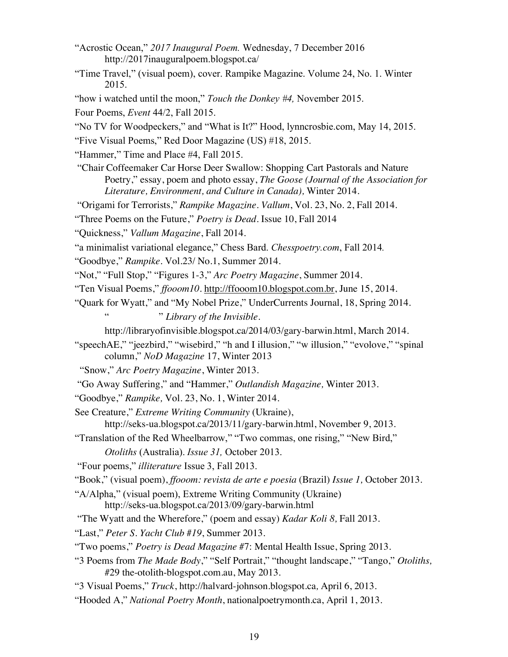- "Acrostic Ocean," *2017 Inaugural Poem.* Wednesday, 7 December 2016 http://2017inauguralpoem.blogspot.ca/
- "Time Travel," (visual poem), cover. Rampike Magazine. Volume 24, No. 1. Winter 2015.
- "how i watched until the moon," *Touch the Donkey #4,* November 2015.

Four Poems, *Event* 44/2, Fall 2015.

- "No TV for Woodpeckers," and "What is It?" Hood, lynncrosbie.com, May 14, 2015.
- "Five Visual Poems," Red Door Magazine (US) #18, 2015.

"Hammer," Time and Place #4, Fall 2015.

"Chair Coffeemaker Car Horse Deer Swallow: Shopping Cart Pastorals and Nature Poetry," essay, poem and photo essay, *The Goose (Journal of the Association for Literature, Environment, and Culture in Canada),* Winter 2014.

"Origami for Terrorists," *Rampike Magazine*. *Vallum*, Vol. 23, No. 2, Fall 2014.

"Three Poems on the Future," *Poetry is Dead*. Issue 10, Fall 2014

"Quickness," *Vallum Magazine*, Fall 2014*.*

- "a minimalist variational elegance," Chess Bard. *Chesspoetry.com*, Fall 2014*.*
- "Goodbye," *Rampike.* Vol.23/ No.1, Summer 2014.

"Not," "Full Stop," "Figures 1-3," *Arc Poetry Magazine*, Summer 2014.

"Ten Visual Poems," *ffooom10.* http://ffooom10.blogspot.com.br, June 15, 2014.

"Quark for Wyatt," and "My Nobel Prize," UnderCurrents Journal, 18, Spring 2014. " ." *Library of the Invisible.*

http://libraryofinvisible.blogspot.ca/2014/03/gary-barwin.html, March 2014.

"speechAE," "jeezbird," "wisebird," "h and I illusion," "w illusion," "evolove," "spinal column," *NoD Magazine* 17, Winter 2013

"Snow," *Arc Poetry Magazine*, Winter 2013.

"Go Away Suffering," and "Hammer," *Outlandish Magazine,* Winter 2013.

"Goodbye," *Rampike,* Vol. 23, No. 1, Winter 2014.

See Creature," *Extreme Writing Community* (Ukraine),

http://seks-ua.blogspot.ca/2013/11/gary-barwin.html, November 9, 2013.

"Translation of the Red Wheelbarrow," "Two commas, one rising," "New Bird,"

*Otoliths* (Australia). *Issue 31,* October 2013.

"Four poems," *illiterature* Issue 3, Fall 2013.

"Book," (visual poem), *ffooom: revista de arte e poesia* (Brazil) *Issue 1,* October 2013.

"A/Alpha," (visual poem), Extreme Writing Community (Ukraine) http://seks-ua.blogspot.ca/2013/09/gary-barwin.html

"The Wyatt and the Wherefore," (poem and essay) *Kadar Koli 8,* Fall 2013.

"Last," *Peter S. Yacht Club #19*, Summer 2013.

- "Two poems," *Poetry is Dead Magazine* #7: Mental Health Issue, Spring 2013.
- "3 Poems from *The Made Body*," "Self Portrait," "thought landscape," "Tango," *Otoliths,* #29 the-otolith-blogspot.com.au, May 2013.

"3 Visual Poems," *Truck*, http://halvard-johnson.blogspot.ca*,* April 6, 2013*.*

"Hooded A," *National Poetry Month*, nationalpoetrymonth.ca, April 1, 2013.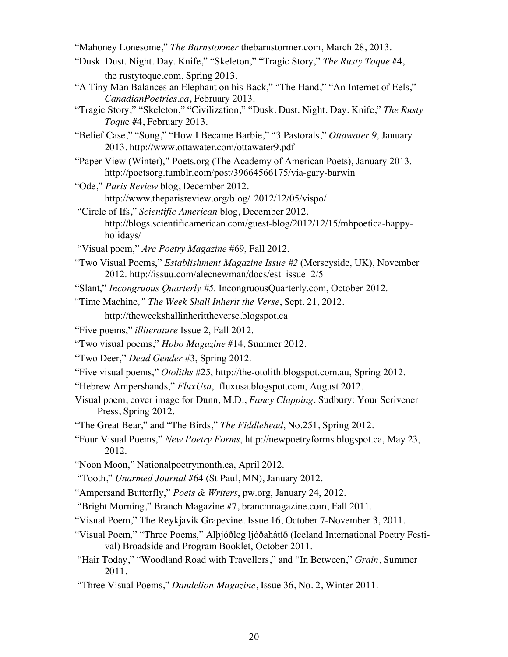"Mahoney Lonesome," *The Barnstormer* thebarnstormer.com, March 28, 2013.

- "Dusk. Dust. Night. Day. Knife," "Skeleton," "Tragic Story," *The Rusty Toque* #4, the rustytoque.com, Spring 2013.
- "A Tiny Man Balances an Elephant on his Back," "The Hand," "An Internet of Eels," *CanadianPoetries.ca*, February 2013.
- "Tragic Story," "Skeleton," "Civilization," "Dusk. Dust. Night. Day. Knife," *The Rusty Toqu*e #4, February 2013.
- "Belief Case," "Song," "How I Became Barbie," "3 Pastorals," *Ottawater 9,* January 2013. http://www.ottawater.com/ottawater9.pdf
- "Paper View (Winter)," Poets.org (The Academy of American Poets), January 2013. http://poetsorg.tumblr.com/post/39664566175/via-gary-barwin
- "Ode," *Paris Review* blog, December 2012. http://www.theparisreview.org/blog/ 2012/12/05/vispo/
- "Circle of Ifs," *Scientific American* blog, December 2012. http://blogs.scientificamerican.com/guest-blog/2012/12/15/mhpoetica-happyholidays/
- "Visual poem," *Arc Poetry Magazine* #69, Fall 2012.
- "Two Visual Poems," *Establishment Magazine Issue #2* (Merseyside, UK), November 2012. http://issuu.com/alecnewman/docs/est\_issue\_2/5
- "Slant," *Incongruous Quarterly #5*. IncongruousQuarterly.com, October 2012.
- "Time Machine*," The Week Shall Inherit the Verse*, Sept. 21, 2012. http://theweekshallinherittheverse.blogspot.ca
- "Five poems," *illiterature* Issue 2, Fall 2012.
- "Two visual poems," *Hobo Magazine* #14, Summer 2012.
- "Two Deer," *Dead Gender* #3, Spring 2012.
- "Five visual poems," *Otoliths* #25, http://the-otolith.blogspot.com.au, Spring 2012.
- "Hebrew Ampershands," *FluxUsa*, fluxusa.blogspot.com, August 2012.
- Visual poem, cover image for Dunn, M.D., *Fancy Clapping*. Sudbury: Your Scrivener Press, Spring 2012.
- "The Great Bear," and "The Birds," *The Fiddlehead*, No.251, Spring 2012.
- "Four Visual Poems," *New Poetry Forms*, http://newpoetryforms.blogspot.ca, May 23, 2012.
- "Noon Moon," Nationalpoetrymonth.ca, April 2012.
- "Tooth," *Unarmed Journal* #64 (St Paul, MN), January 2012.
- "Ampersand Butterfly," *Poets & Writers*, pw.org, January 24, 2012.
- "Bright Morning," Branch Magazine #7, branchmagazine.com, Fall 2011.
- "Visual Poem," The Reykjavik Grapevine. Issue 16, October 7-November 3, 2011.
- "Visual Poem," "Three Poems," Alþjóðleg ljóðahátíð (Iceland International Poetry Festival) Broadside and Program Booklet, October 2011.
- "Hair Today," "Woodland Road with Travellers," and "In Between," *Grain*, Summer 2011.
- "Three Visual Poems," *Dandelion Magazine*, Issue 36, No. 2, Winter 2011.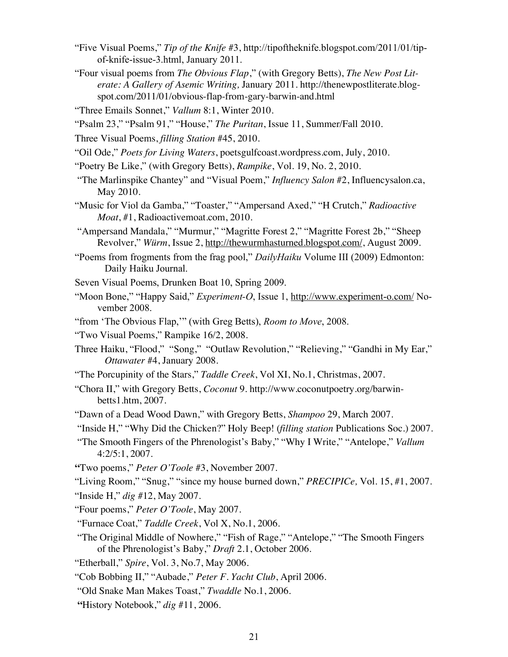- "Five Visual Poems," *Tip of the Knife* #3, http://tipoftheknife.blogspot.com/2011/01/tipof-knife-issue-3.html, January 2011.
- "Four visual poems from *The Obvious Flap*," (with Gregory Betts), *The New Post Literate: A Gallery of Asemic Writing,* January 2011. http://thenewpostliterate.blogspot.com/2011/01/obvious-flap-from-gary-barwin-and.html
- "Three Emails Sonnet," *Vallum* 8:1, Winter 2010.
- "Psalm 23," "Psalm 91," "House," *The Puritan*, Issue 11, Summer/Fall 2010.
- Three Visual Poems, *filling Station* #45, 2010.
- "Oil Ode," *Poets for Living Waters*, poetsgulfcoast.wordpress.com, July, 2010.
- "Poetry Be Like," (with Gregory Betts), *Rampike*, Vol. 19, No. 2, 2010.
- "The Marlinspike Chantey" and "Visual Poem," *Influency Salon* #2, Influencysalon.ca, May 2010.
- "Music for Viol da Gamba," "Toaster," "Ampersand Axed," "H Crutch," *Radioactive Moat*, #1, Radioactivemoat.com, 2010.
- "Ampersand Mandala," "Murmur," "Magritte Forest 2," "Magritte Forest 2b," "Sheep Revolver," *Würm*, Issue 2, http://thewurmhasturned.blogspot.com/, August 2009.
- "Poems from frogments from the frag pool," *DailyHaiku* Volume III (2009) Edmonton: Daily Haiku Journal.
- Seven Visual Poems, Drunken Boat 10, Spring 2009.
- "Moon Bone," "Happy Said," *Experiment-O*, Issue 1, http://www.experiment-o.com/ November 2008.
- "from 'The Obvious Flap,'" (with Greg Betts), *Room to Move*, 2008.
- "Two Visual Poems," Rampike 16/2, 2008.
- Three Haiku, "Flood," "Song," "Outlaw Revolution," "Relieving," "Gandhi in My Ear," *Ottawater* #4, January 2008.
- "The Porcupinity of the Stars," *Taddle Creek*, Vol XI, No.1, Christmas, 2007.
- "Chora II," with Gregory Betts, *Coconut* 9. http://www.coconutpoetry.org/barwinbetts1.htm, 2007.
- "Dawn of a Dead Wood Dawn," with Gregory Betts, *Shampoo* 29, March 2007.

"Inside H," "Why Did the Chicken?" Holy Beep! (*filling station* Publications Soc.) 2007.

- "The Smooth Fingers of the Phrenologist's Baby," "Why I Write," "Antelope," *Vallum* 4:2/5:1, 2007.
- **"**Two poems," *Peter O'Toole* #3, November 2007.
- "Living Room," "Snug," "since my house burned down," *PRECIPICe,* Vol. 15, #1, 2007.

"Inside H," *dig* #12, May 2007.

- "Four poems," *Peter O'Toole*, May 2007.
- "Furnace Coat," *Taddle Creek*, Vol X, No.1, 2006.
- "The Original Middle of Nowhere," "Fish of Rage," "Antelope," "The Smooth Fingers of the Phrenologist's Baby," *Draft* 2.1, October 2006.
- "Etherball," *Spire*, Vol. 3, No.7, May 2006.
- "Cob Bobbing II," "Aubade," *Peter F. Yacht Club*, April 2006.
- "Old Snake Man Makes Toast," *Twaddle* No.1, 2006.
- **"**History Notebook," *dig* #11, 2006.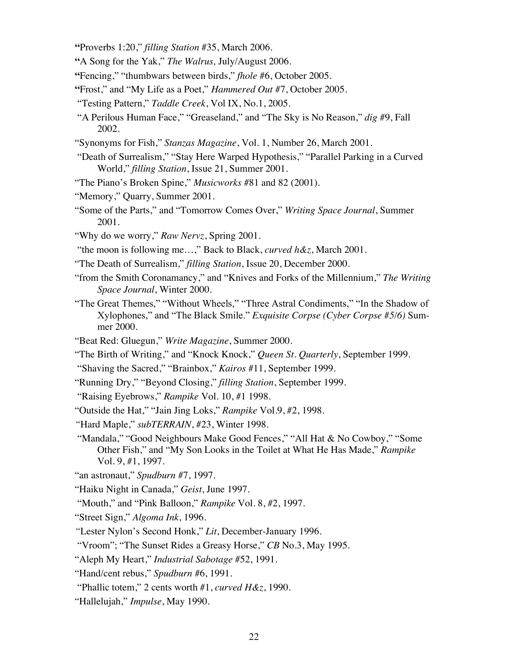- **"**Proverbs 1:20," *filling Station* #35, March 2006.
- **"**A Song for the Yak," *The Walrus,* July/August 2006.
- **"**Fencing," "thumbwars between birds," *fhole* #6, October 2005.
- **"**Frost," and "My Life as a Poet," *Hammered Out* #7, October 2005.
- "Testing Pattern," *Taddle Creek*, Vol IX, No.1, 2005.
- "A Perilous Human Face," "Greaseland," and "The Sky is No Reason," *dig* #9, Fall 2002.
- "Synonyms for Fish," *Stanzas Magazine*, Vol. 1, Number 26, March 2001.
- "Death of Surrealism," "Stay Here Warped Hypothesis," "Parallel Parking in a Curved World," *filling Station*, Issue 21, Summer 2001.
- "The Piano's Broken Spine," *Musicworks* #81 and 82 (2001).
- "Memory," Quarry, Summer 2001.
- "Some of the Parts," and "Tomorrow Comes Over," *Writing Space Journal*, Summer 2001.
- "Why do we worry," *Raw Nervz*, Spring 2001.
- "the moon is following me…," Back to Black, *curved h&z*, March 2001.
- "The Death of Surrealism," *filling Station*, Issue 20, December 2000.
- "from the Smith Coronamancy," and "Knives and Forks of the Millennium," *The Writing Space Journal*, Winter 2000.
- "The Great Themes," "Without Wheels," "Three Astral Condiments," "In the Shadow of Xylophones," and "The Black Smile." *Exquisite Corpse (Cyber Corpse #5/6)* Summer 2000.
- "Beat Red: Gluegun," *Write Magazine*, Summer 2000.
- "The Birth of Writing," and "Knock Knock," *Queen St. Quarterly*, September 1999.
- "Shaving the Sacred," "Brainbox," *Kairos* #11, September 1999.
- "Running Dry," "Beyond Closing," *filling Station*, September 1999.
- "Raising Eyebrows," *Rampike* Vol. 10, #1 1998.
- "Outside the Hat," "Jain Jing Loks," *Rampike* Vol.9, #2, 1998.
- *"*Hard Maple," *subTERRAIN*, #23, Winter 1998.
- "Mandala," "Good Neighbours Make Good Fences," "All Hat & No Cowboy," "Some Other Fish," and "My Son Looks in the Toilet at What He Has Made," *Rampike* Vol. 9, #1, 1997.
- "an astronaut," *Spudburn* #7, 1997.
- "Haiku Night in Canada," *Geist*, June 1997.
- "Mouth," and "Pink Balloon," *Rampike* Vol. 8, #2, 1997.
- "Street Sign," *Algoma Ink*, 1996.
- *"*Lester Nylon's Second Honk," *Lit*, December-January 1996.
- "Vroom"; "The Sunset Rides a Greasy Horse," *CB* No.3, May 1995.
- "Aleph My Heart," *Industrial Sabotage* #52, 1991.
- "Hand/cent rebus," *Spudburn* #6, 1991.
- "Phallic totem," 2 cents worth #1, *curved H&z*, 1990.
- "Hallelujah," *Impulse*, May 1990.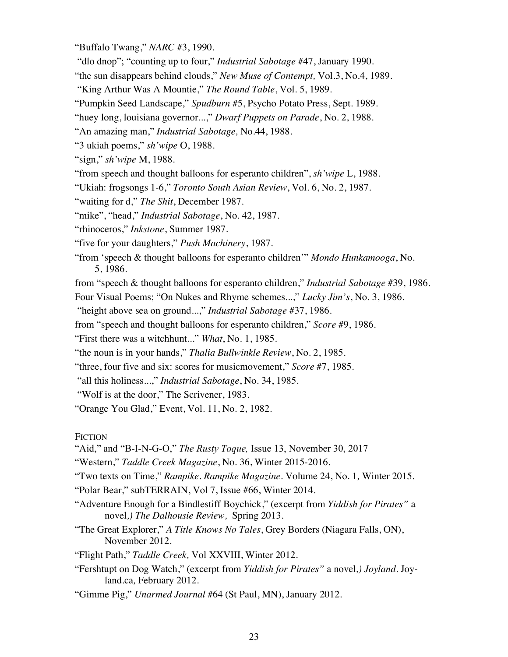"Buffalo Twang," *NARC* #3, 1990.

"dlo dnop"; "counting up to four," *Industrial Sabotage* #47, January 1990.

"the sun disappears behind clouds," *New Muse of Contempt,* Vol.3, No.4, 1989.

"King Arthur Was A Mountie," *The Round Table*, Vol. 5, 1989.

"Pumpkin Seed Landscape," *Spudburn* #5, Psycho Potato Press, Sept. 1989.

"huey long, louisiana governor...," *Dwarf Puppets on Parade*, No. 2, 1988.

"An amazing man," *Industrial Sabotage,* No.44, 1988.

"3 ukiah poems," *sh'wipe* O, 1988.

"sign," *sh'wipe* M, 1988.

"from speech and thought balloons for esperanto children", *sh'wipe* L, 1988.

"Ukiah: frogsongs 1-6," *Toronto South Asian Review*, Vol. 6, No. 2, 1987.

"waiting for d," *The Shit*, December 1987.

"mike", "head," *Industrial Sabotage*, No. 42, 1987.

"rhinoceros," *Inkstone*, Summer 1987.

"five for your daughters," *Push Machinery*, 1987.

"from 'speech & thought balloons for esperanto children'" *Mondo Hunkamooga*, No. 5, 1986.

from "speech & thought balloons for esperanto children," *Industrial Sabotage* #39, 1986.

Four Visual Poems; "On Nukes and Rhyme schemes...," *Lucky Jim's*, No. 3, 1986.

"height above sea on ground...," *Industrial Sabotage* #37, 1986.

from "speech and thought balloons for esperanto children," *Score* #9, 1986.

"First there was a witchhunt..." *What*, No. 1, 1985.

"the noun is in your hands," *Thalia Bullwinkle Review*, No. 2, 1985.

"three, four five and six: scores for musicmovement," *Score* #7, 1985.

"all this holiness...," *Industrial Sabotage*, No. 34, 1985.

"Wolf is at the door," The Scrivener, 1983.

"Orange You Glad," Event, Vol. 11, No. 2, 1982.

**FICTION** 

"Aid," and "B-I-N-G-O," *The Rusty Toque,* Issue 13, November 30, 2017

"Western," *Taddle Creek Magazine*, No. 36, Winter 2015-2016.

"Two texts on Time," *Rampike*. *Rampike Magazine*. Volume 24, No. 1*,* Winter 2015.

"Polar Bear," subTERRAIN, Vol 7, Issue #66, Winter 2014.

- "Adventure Enough for a Bindlestiff Boychick," (excerpt from *Yiddish for Pirates"* a novel*,) The Dalhousie Review,* Spring 2013.
- "The Great Explorer," *A Title Knows No Tales*, Grey Borders (Niagara Falls, ON), November 2012.

"Flight Path," *Taddle Creek,* Vol XXVIII, Winter 2012.

"Fershtupt on Dog Watch," (excerpt from *Yiddish for Pirates"* a novel*,) Joyland.* Joyland.ca*,* February 2012.

"Gimme Pig," *Unarmed Journal* #64 (St Paul, MN), January 2012.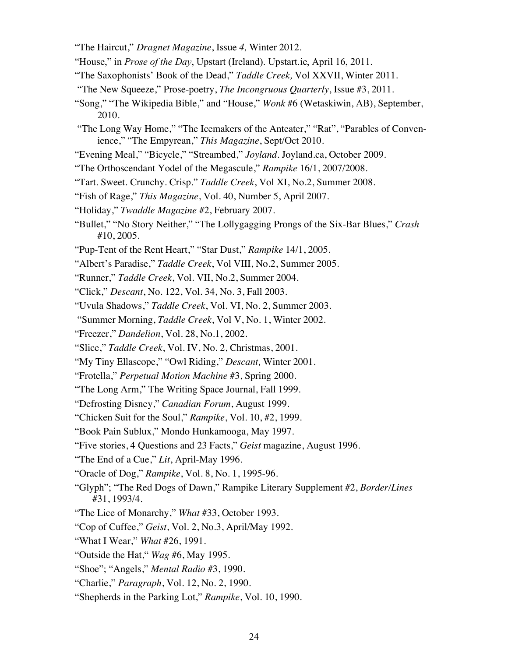- "The Haircut," *Dragnet Magazine*, Issue *4,* Winter 2012.
- "House," in *Prose of the Day*, Upstart (Ireland). Upstart.ie, April 16, 2011.
- "The Saxophonists' Book of the Dead," *Taddle Creek,* Vol XXVII, Winter 2011.
- "The New Squeeze," Prose-poetry, *The Incongruous Quarterly*, Issue #3, 2011.
- "Song," "The Wikipedia Bible," and "House," *Wonk* #6 (Wetaskiwin, AB), September, 2010.
- "The Long Way Home," "The Icemakers of the Anteater," "Rat", "Parables of Convenience," "The Empyrean," *This Magazine*, Sept/Oct 2010.
- "Evening Meal," "Bicycle," "Streambed," *Joyland*. Joyland.ca, October 2009.
- "The Orthoscendant Yodel of the Megascule," *Rampike* 16/1, 2007/2008.
- "Tart. Sweet. Crunchy. Crisp." *Taddle Creek*, Vol XI, No.2, Summer 2008.
- "Fish of Rage," *This Magazine*, Vol. 40, Number 5, April 2007.
- "Holiday," *Twaddle Magazine* #2, February 2007.
- "Bullet," "No Story Neither," "The Lollygagging Prongs of the Six-Bar Blues," *Crash* #10, 2005.
- "Pup-Tent of the Rent Heart," "Star Dust," *Rampike* 14/1, 2005.
- "Albert's Paradise," *Taddle Creek*, Vol VIII, No.2, Summer 2005.
- "Runner," *Taddle Creek*, Vol. VII, No.2, Summer 2004.
- "Click," *Descant*, No. 122, Vol. 34, No. 3, Fall 2003.
- "Uvula Shadows," *Taddle Creek*, Vol. VI, No. 2, Summer 2003.
- "Summer Morning, *Taddle Creek*, Vol V, No. 1, Winter 2002.
- "Freezer," *Dandelion*, Vol. 28, No.1, 2002.
- "Slice," *Taddle Creek*, Vol. IV, No. 2, Christmas, 2001.
- "My Tiny Ellascope," "Owl Riding," *Descant,* Winter 2001.
- "Frotella," *Perpetual Motion Machine* #3, Spring 2000.
- "The Long Arm," The Writing Space Journal, Fall 1999.
- "Defrosting Disney," *Canadian Forum*, August 1999.
- "Chicken Suit for the Soul," *Rampike*, Vol. 10, #2, 1999.
- "Book Pain Sublux," Mondo Hunkamooga, May 1997.
- "Five stories, 4 Questions and 23 Facts," *Geist* magazine, August 1996.
- "The End of a Cue," *Lit*, April-May 1996.
- "Oracle of Dog," *Rampike*, Vol. 8, No. 1, 1995-96.
- "Glyph"; "The Red Dogs of Dawn," Rampike Literary Supplement #2, *Border/Lines* #31, 1993/4.
- "The Lice of Monarchy," *What* #33, October 1993.
- "Cop of Cuffee," *Geist*, Vol. 2, No.3, April/May 1992.
- "What I Wear," *What* #26, 1991.
- "Outside the Hat," *Wag* #6, May 1995.
- "Shoe"; "Angels," *Mental Radio* #3, 1990.
- "Charlie," *Paragraph*, Vol. 12, No. 2, 1990.
- "Shepherds in the Parking Lot," *Rampike*, Vol. 10, 1990.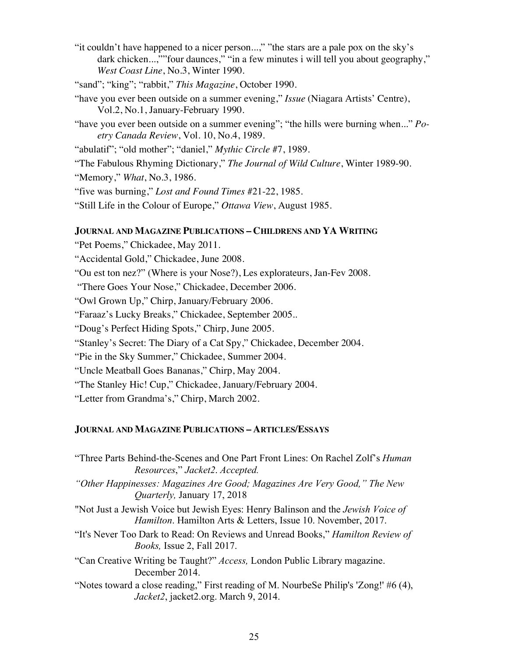"it couldn't have happened to a nicer person...," "the stars are a pale pox on the sky's dark chicken...,""four daunces," "in a few minutes i will tell you about geography," *West Coast Line*, No.3, Winter 1990.

"sand"; "king"; "rabbit," *This Magazine*, October 1990.

- "have you ever been outside on a summer evening," *Issue* (Niagara Artists' Centre), Vol.2, No.1, January-February 1990.
- "have you ever been outside on a summer evening"; "the hills were burning when..." *Poetry Canada Review*, Vol. 10, No.4, 1989.

"abulatif"; "old mother"; "daniel," *Mythic Circle* #7, 1989.

"The Fabulous Rhyming Dictionary," *The Journal of Wild Culture*, Winter 1989-90.

"Memory," *What*, No.3, 1986.

"five was burning," *Lost and Found Times* #21-22, 1985.

"Still Life in the Colour of Europe," *Ottawa View*, August 1985.

# **JOURNAL AND MAGAZINE PUBLICATIONS – CHILDRENS AND YA WRITING**

"Pet Poems," Chickadee, May 2011.

"Accidental Gold," Chickadee, June 2008.

"Ou est ton nez?" (Where is your Nose?), Les explorateurs, Jan-Fev 2008.

"There Goes Your Nose," Chickadee, December 2006.

"Owl Grown Up," Chirp, January/February 2006.

"Faraaz's Lucky Breaks," Chickadee, September 2005..

"Doug's Perfect Hiding Spots," Chirp, June 2005.

"Stanley's Secret: The Diary of a Cat Spy," Chickadee, December 2004.

"Pie in the Sky Summer," Chickadee, Summer 2004.

"Uncle Meatball Goes Bananas," Chirp, May 2004.

"The Stanley Hic! Cup," Chickadee, January/February 2004.

"Letter from Grandma's," Chirp, March 2002.

## **JOURNAL AND MAGAZINE PUBLICATIONS – ARTICLES/ESSAYS**

"Three Parts Behind-the-Scenes and One Part Front Lines: On Rachel Zolf's *Human Resources*," *Jacket2*. *Accepted. "Other Happinesses: Magazines Are Good; Magazines Are Very Good," The New Quarterly,* January 17, 2018

- "Not Just a Jewish Voice but Jewish Eyes: Henry Balinson and the *Jewish Voice of Hamilton*. Hamilton Arts & Letters, Issue 10. November, 2017.
- "It's Never Too Dark to Read: On Reviews and Unread Books," *Hamilton Review of Books,* Issue 2, Fall 2017.
- "Can Creative Writing be Taught?" *Access,* London Public Library magazine. December 2014.

"Notes toward a close reading," First reading of M. NourbeSe Philip's 'Zong!' #6 (4), *Jacket2*, jacket2.org. March 9, 2014.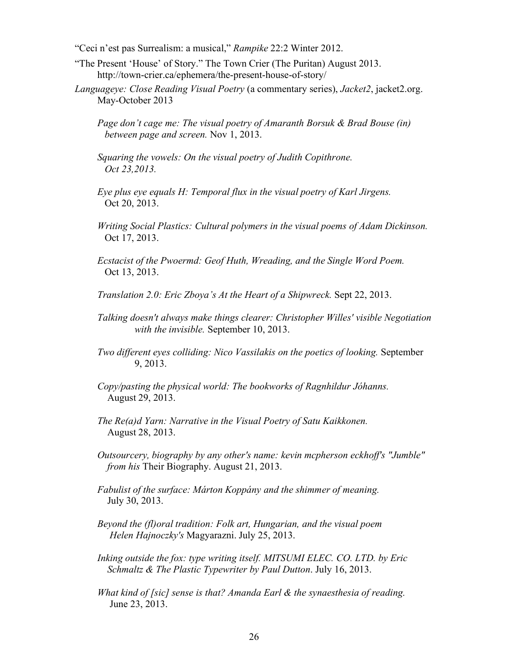"Ceci n'est pas Surrealism: a musical," *Rampike* 22:2 Winter 2012.

- "The Present 'House' of Story." The Town Crier (The Puritan) August 2013. http://town-crier.ca/ephemera/the-present-house-of-story/
- *Languageye: Close Reading Visual Poetry* (a commentary series), *Jacket2*, jacket2.org. May-October 2013
	- *Page don't cage me: The visual poetry of Amaranth Borsuk & Brad Bouse (in) between page and screen.* Nov 1, 2013.
	- *Squaring the vowels: On the visual poetry of Judith Copithrone. Oct 23,2013.*
	- *Eye plus eye equals H: Temporal flux in the visual poetry of Karl Jirgens.* Oct 20, 2013.
	- *Writing Social Plastics: Cultural polymers in the visual poems of Adam Dickinson.* Oct 17, 2013.
	- *Ecstacist of the Pwoermd: Geof Huth, Wreading, and the Single Word Poem.* Oct 13, 2013.
	- *Translation 2.0: Eric Zboya's At the Heart of a Shipwreck.* Sept 22, 2013.
	- *Talking doesn't always make things clearer: Christopher Willes' visible Negotiation with the invisible.* September 10, 2013.
	- *Two different eyes colliding: Nico Vassilakis on the poetics of looking.* September 9, 2013.
	- *Copy/pasting the physical world: The bookworks of Ragnhildur Jóhanns.* August 29, 2013.
	- *The Re(a)d Yarn: Narrative in the Visual Poetry of Satu Kaikkonen.* August 28, 2013.
	- *Outsourcery, biography by any other's name: kevin mcpherson eckhoff's "Jumble" from his* Their Biography. August 21, 2013.
	- *Fabulist of the surface: Márton Koppány and the shimmer of meaning.* July 30, 2013.
	- *Beyond the (fl)oral tradition: Folk art, Hungarian, and the visual poem Helen Hajnoczky's* Magyarazni. July 25, 2013.
	- *Inking outside the fox: type writing itself. MITSUMI ELEC. CO. LTD. by Eric Schmaltz & The Plastic Typewriter by Paul Dutton*. July 16, 2013.
	- *What kind of [sic] sense is that? Amanda Earl & the synaesthesia of reading.* June 23, 2013.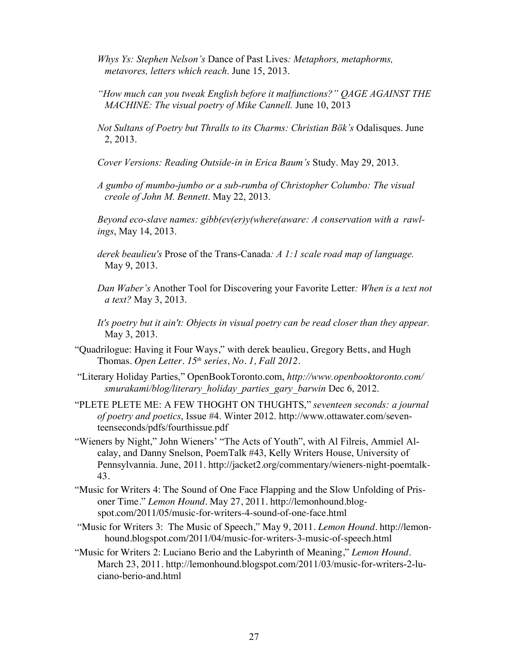- *Whys Ys: Stephen Nelson's* Dance of Past Lives*: Metaphors, metaphorms, metavores, letters which reach*. June 15, 2013.
- *"How much can you tweak English before it malfunctions?" QAGE AGAINST THE MACHINE: The visual poetry of Mike Cannell.* June 10, 2013
- *Not Sultans of Poetry but Thralls to its Charms: Christian Bök's* Odalisques. June 2, 2013.
- *Cover Versions: Reading Outside-in in Erica Baum's* Study. May 29, 2013.
- *A gumbo of mumbo-jumbo or a sub-rumba of Christopher Columbo: The visual creole of John M. Bennett*. May 22, 2013.
- *Beyond eco-slave names: gibb(ev(er)y(where(aware: A conservation with a rawlings*, May 14, 2013.
- *derek beaulieu's* Prose of the Trans-Canada*: A 1:1 scale road map of language.* May 9, 2013.
- *Dan Waber's* Another Tool for Discovering your Favorite Letter*: When is a text not a text?* May 3, 2013.
- *It's poetry but it ain't: Objects in visual poetry can be read closer than they appear.* May 3, 2013.
- "Quadrilogue: Having it Four Ways," with derek beaulieu, Gregory Betts, and Hugh Thomas. *Open Letter. 15th series, No. 1, Fall 2012.*
- "Literary Holiday Parties," OpenBookToronto.com, *http://www.openbooktoronto.com/ smurakami/blog/literary\_holiday\_parties\_gary\_barwin* Dec 6, 2012.
- "PLETE PLETE ME: A FEW THOGHT ON THUGHTS," *seventeen seconds: a journal of poetry and poetics*, Issue #4. Winter 2012. http://www.ottawater.com/seventeenseconds/pdfs/fourthissue.pdf
- "Wieners by Night," John Wieners' "The Acts of Youth", with Al Filreis, Ammiel Alcalay, and Danny Snelson, PoemTalk #43, Kelly Writers House, University of Pennsylvannia. June, 2011. http://jacket2.org/commentary/wieners-night-poemtalk-43.
- "Music for Writers 4: The Sound of One Face Flapping and the Slow Unfolding of Prisoner Time." *Lemon Hound.* May 27, 2011. http://lemonhound.blogspot.com/2011/05/music-for-writers-4-sound-of-one-face.html
- "Music for Writers 3: The Music of Speech," May 9, 2011. *Lemon Hound.* http://lemonhound.blogspot.com/2011/04/music-for-writers-3-music-of-speech.html
- "Music for Writers 2: Luciano Berio and the Labyrinth of Meaning," *Lemon Hound.* March 23, 2011. http://lemonhound.blogspot.com/2011/03/music-for-writers-2-luciano-berio-and.html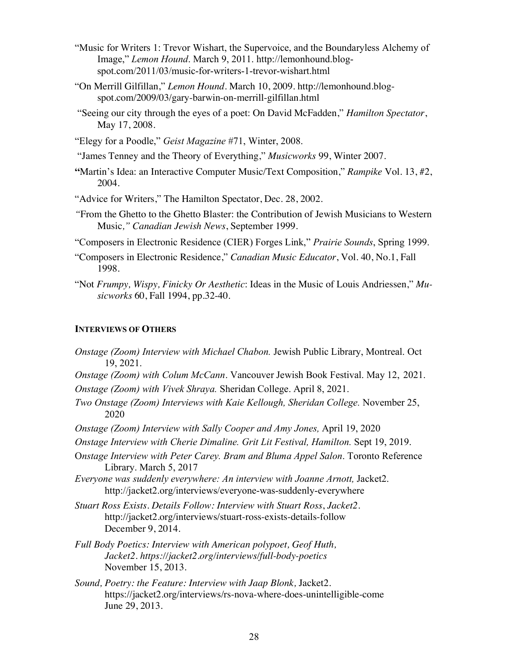- "Music for Writers 1: Trevor Wishart, the Supervoice, and the Boundaryless Alchemy of Image," *Lemon Hound*. March 9, 2011. http://lemonhound.blogspot.com/2011/03/music-for-writers-1-trevor-wishart.html
- "On Merrill Gilfillan," *Lemon Hound*. March 10, 2009. http://lemonhound.blogspot.com/2009/03/gary-barwin-on-merrill-gilfillan.html
- "Seeing our city through the eyes of a poet: On David McFadden," *Hamilton Spectator*, May 17, 2008.
- "Elegy for a Poodle," *Geist Magazine* #71, Winter, 2008.
- "James Tenney and the Theory of Everything," *Musicworks* 99, Winter 2007.
- **"**Martin's Idea: an Interactive Computer Music/Text Composition," *Rampike* Vol. 13, #2, 2004.
- "Advice for Writers," The Hamilton Spectator, Dec. 28, 2002.
- *"*From the Ghetto to the Ghetto Blaster: the Contribution of Jewish Musicians to Western Music*," Canadian Jewish News*, September 1999.

"Composers in Electronic Residence (CIER) Forges Link," *Prairie Sounds*, Spring 1999.

- "Composers in Electronic Residence," *Canadian Music Educator*, Vol. 40, No.1, Fall 1998.
- "Not *Frumpy, Wispy, Finicky Or Aesthetic*: Ideas in the Music of Louis Andriessen," *Musicworks* 60, Fall 1994, pp.32-40.

## **INTERVIEWS OF OTHERS**

*Onstage (Zoom) Interview with Michael Chabon.* Jewish Public Library, Montreal. Oct 19, 2021. *Onstage (Zoom) with Colum McCann*. Vancouver Jewish Book Festival. May 12, 2021. *Onstage (Zoom) with Vivek Shraya.* Sheridan College. April 8, 2021. *Two Onstage (Zoom) Interviews with Kaie Kellough, Sheridan College.* November 25, 2020 *Onstage (Zoom) Interview with Sally Cooper and Amy Jones,* April 19, 2020 *Onstage Interview with Cherie Dimaline. Grit Lit Festival, Hamilton.* Sept 19, 2019. O*nstage Interview with Peter Carey. Bram and Bluma Appel Salon*. Toronto Reference Library. March 5, 2017 *Everyone was suddenly everywhere: An interview with Joanne Arnott,* Jacket2. http://jacket2.org/interviews/everyone-was-suddenly-everywhere *Stuart Ross Exists. Details Follow: Interview with Stuart Ross*, *Jacket2.* http://jacket2.org/interviews/stuart-ross-exists-details-follow December 9, 2014. *Full Body Poetics: Interview with American polypoet, Geof Huth, Jacket2. https://jacket2.org/interviews/full-body-poetics* November 15, 2013. *Sound, Poetry: the Feature: Interview with Jaap Blonk,* Jacket2. https://jacket2.org/interviews/rs-nova-where-does-unintelligible-come June 29, 2013.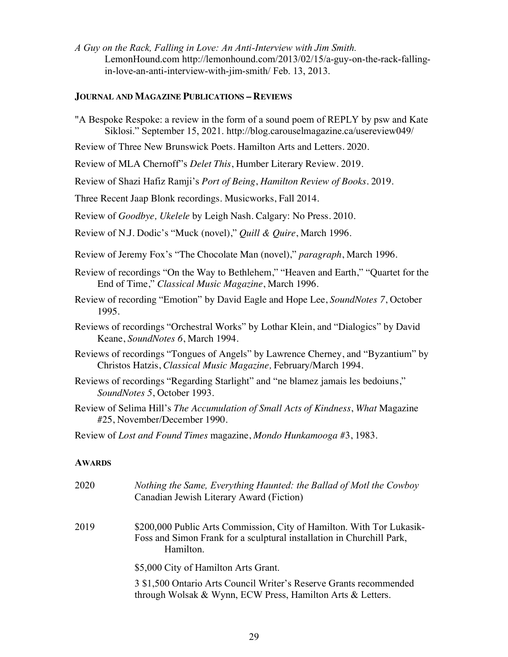*A Guy on the Rack, Falling in Love: An Anti-Interview with Jim Smith.* LemonHound.com http://lemonhound.com/2013/02/15/a-guy-on-the-rack-fallingin-love-an-anti-interview-with-jim-smith/ Feb. 13, 2013.

#### **JOURNAL AND MAGAZINE PUBLICATIONS – REVIEWS**

"A Bespoke Respoke: a review in the form of a sound poem of REPLY by psw and Kate Siklosi." September 15, 2021. http://blog.carouselmagazine.ca/usereview049/

Review of Three New Brunswick Poets. Hamilton Arts and Letters. 2020.

Review of MLA Chernoff"s *Delet This*, Humber Literary Review. 2019.

Review of Shazi Hafiz Ramji's *Port of Being*, *Hamilton Review of Books*. 2019.

Three Recent Jaap Blonk recordings. Musicworks, Fall 2014.

Review of *Goodbye, Ukelele* by Leigh Nash. Calgary: No Press. 2010.

Review of N.J. Dodic's "Muck (novel)," *Quill & Quire*, March 1996.

- Review of Jeremy Fox's "The Chocolate Man (novel)," *paragraph*, March 1996.
- Review of recordings "On the Way to Bethlehem," "Heaven and Earth," "Quartet for the End of Time," *Classical Music Magazine*, March 1996.
- Review of recording "Emotion" by David Eagle and Hope Lee, *SoundNotes 7*, October 1995.
- Reviews of recordings "Orchestral Works" by Lothar Klein, and "Dialogics" by David Keane, *SoundNotes 6*, March 1994.
- Reviews of recordings "Tongues of Angels" by Lawrence Cherney, and "Byzantium" by Christos Hatzis, *Classical Music Magazine,* February/March 1994.
- Reviews of recordings "Regarding Starlight" and "ne blamez jamais les bedoiuns," *SoundNotes 5*, October 1993.
- Review of Selima Hill's *The Accumulation of Small Acts of Kindness*, *What* Magazine #25, November/December 1990.

#### **AWARDS**

| 2020 | Nothing the Same, Everything Haunted: the Ballad of Motl the Cowboy<br>Canadian Jewish Literary Award (Fiction)                                             |
|------|-------------------------------------------------------------------------------------------------------------------------------------------------------------|
| 2019 | \$200,000 Public Arts Commission, City of Hamilton. With Tor Lukasik-<br>Foss and Simon Frank for a sculptural installation in Churchill Park,<br>Hamilton. |
|      | \$5,000 City of Hamilton Arts Grant.                                                                                                                        |
|      | 3 \$1,500 Ontario Arts Council Writer's Reserve Grants recommended<br>through Wolsak & Wynn, ECW Press, Hamilton Arts & Letters.                            |

Review of *Lost and Found Times* magazine, *Mondo Hunkamooga* #3, 1983.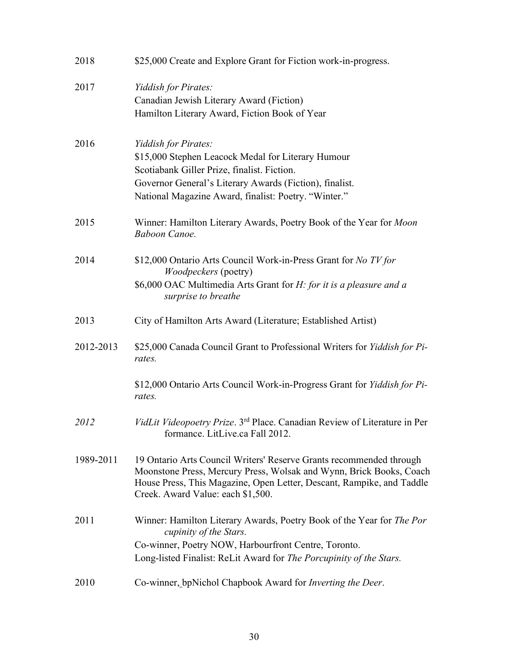| 2018      | \$25,000 Create and Explore Grant for Fiction work-in-progress.                                                                                                                                                                                          |
|-----------|----------------------------------------------------------------------------------------------------------------------------------------------------------------------------------------------------------------------------------------------------------|
| 2017      | Yiddish for Pirates:<br>Canadian Jewish Literary Award (Fiction)<br>Hamilton Literary Award, Fiction Book of Year                                                                                                                                        |
| 2016      | Yiddish for Pirates:<br>\$15,000 Stephen Leacock Medal for Literary Humour<br>Scotiabank Giller Prize, finalist. Fiction.<br>Governor General's Literary Awards (Fiction), finalist.<br>National Magazine Award, finalist: Poetry. "Winter."             |
| 2015      | Winner: Hamilton Literary Awards, Poetry Book of the Year for Moon<br><b>Baboon Canoe.</b>                                                                                                                                                               |
| 2014      | \$12,000 Ontario Arts Council Work-in-Press Grant for No TV for<br><i>Woodpeckers</i> (poetry)<br>\$6,000 OAC Multimedia Arts Grant for H: for it is a pleasure and a<br>surprise to breathe                                                             |
| 2013      | City of Hamilton Arts Award (Literature; Established Artist)                                                                                                                                                                                             |
| 2012-2013 | \$25,000 Canada Council Grant to Professional Writers for Yiddish for Pi-<br>rates.                                                                                                                                                                      |
|           | \$12,000 Ontario Arts Council Work-in-Progress Grant for Yiddish for Pi-<br>rates.                                                                                                                                                                       |
| 2012      | VidLit Videopoetry Prize. 3 <sup>rd</sup> Place. Canadian Review of Literature in Per<br>formance. LitLive.ca Fall 2012.                                                                                                                                 |
| 1989-2011 | 19 Ontario Arts Council Writers' Reserve Grants recommended through<br>Moonstone Press, Mercury Press, Wolsak and Wynn, Brick Books, Coach<br>House Press, This Magazine, Open Letter, Descant, Rampike, and Taddle<br>Creek. Award Value: each \$1,500. |
| 2011      | Winner: Hamilton Literary Awards, Poetry Book of the Year for <i>The Por</i><br>cupinity of the Stars.<br>Co-winner, Poetry NOW, Harbourfront Centre, Toronto.<br>Long-listed Finalist: ReLit Award for The Porcupinity of the Stars.                    |
| 2010      | Co-winner, bpNichol Chapbook Award for Inverting the Deer.                                                                                                                                                                                               |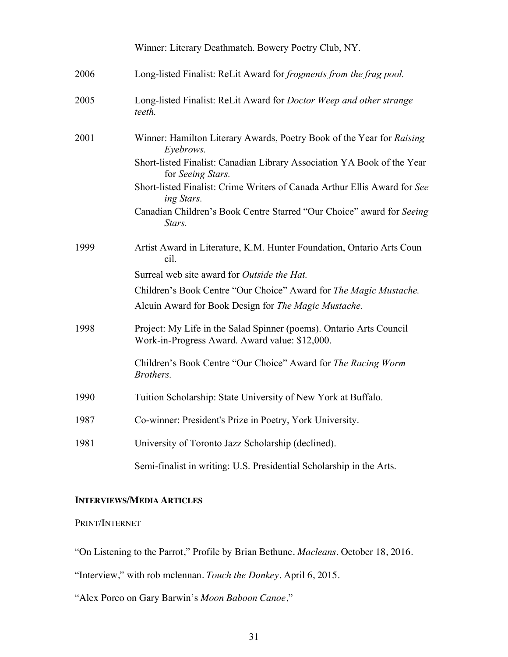|      | Winner: Literary Deathmatch. Bowery Poetry Club, NY.                                                                  |
|------|-----------------------------------------------------------------------------------------------------------------------|
| 2006 | Long-listed Finalist: ReLit Award for frogments from the frag pool.                                                   |
| 2005 | Long-listed Finalist: ReLit Award for Doctor Weep and other strange<br>teeth.                                         |
| 2001 | Winner: Hamilton Literary Awards, Poetry Book of the Year for Raising<br>Eyebrows.                                    |
|      | Short-listed Finalist: Canadian Library Association YA Book of the Year<br>for Seeing Stars.                          |
|      | Short-listed Finalist: Crime Writers of Canada Arthur Ellis Award for See<br>ing Stars.                               |
|      | Canadian Children's Book Centre Starred "Our Choice" award for Seeing<br>Stars.                                       |
| 1999 | Artist Award in Literature, K.M. Hunter Foundation, Ontario Arts Coun<br>cil.                                         |
|      | Surreal web site award for Outside the Hat.                                                                           |
|      | Children's Book Centre "Our Choice" Award for The Magic Mustache.                                                     |
|      | Alcuin Award for Book Design for The Magic Mustache.                                                                  |
| 1998 | Project: My Life in the Salad Spinner (poems). Ontario Arts Council<br>Work-in-Progress Award. Award value: \$12,000. |
|      | Children's Book Centre "Our Choice" Award for The Racing Worm<br>Brothers.                                            |
| 1990 | Tuition Scholarship: State University of New York at Buffalo.                                                         |
| 1987 | Co-winner: President's Prize in Poetry, York University.                                                              |
| 1981 | University of Toronto Jazz Scholarship (declined).                                                                    |
|      | Semi-finalist in writing: U.S. Presidential Scholarship in the Arts.                                                  |

# **INTERVIEWS/MEDIA ARTICLES**

# PRINT/INTERNET

"On Listening to the Parrot," Profile by Brian Bethune. *Macleans*. October 18, 2016.

"Interview," with rob mclennan. *Touch the Donkey.* April 6, 2015.

"Alex Porco on Gary Barwin's *Moon Baboon Canoe*,"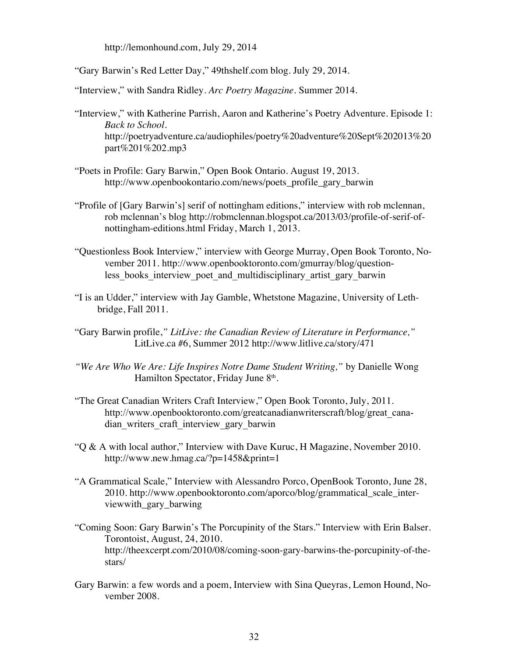http://lemonhound.com, July 29, 2014

"Gary Barwin's Red Letter Day," 49thshelf.com blog. July 29, 2014.

"Interview," with Sandra Ridley. *Arc Poetry Magazine.* Summer 2014.

- "Interview," with Katherine Parrish, Aaron and Katherine's Poetry Adventure. Episode 1: *Back to School.* http://poetryadventure.ca/audiophiles/poetry%20adventure%20Sept%202013%20 part%201%202.mp3
- "Poets in Profile: Gary Barwin," Open Book Ontario. August 19, 2013. http://www.openbookontario.com/news/poets\_profile\_gary\_barwin
- "Profile of [Gary Barwin's] serif of nottingham editions," interview with rob mclennan, rob mclennan's blog http://robmclennan.blogspot.ca/2013/03/profile-of-serif-ofnottingham-editions.html Friday, March 1, 2013.
- "Questionless Book Interview," interview with George Murray, Open Book Toronto, November 2011. http://www.openbooktoronto.com/gmurray/blog/questionless books interview poet and multidisciplinary artist gary barwin
- "I is an Udder," interview with Jay Gamble, Whetstone Magazine, University of Lethbridge, Fall 2011.
- "Gary Barwin profile,*" LitLive: the Canadian Review of Literature in Performance,"* LitLive.ca #6, Summer 2012 http://www.litlive.ca/story/471
- *"We Are Who We Are: Life Inspires Notre Dame Student Writing,"* by Danielle Wong Hamilton Spectator, Friday June 8<sup>th</sup>.
- "The Great Canadian Writers Craft Interview," Open Book Toronto, July, 2011. http://www.openbooktoronto.com/greatcanadianwriterscraft/blog/great\_canadian writers craft interview gary barwin
- "Q & A with local author," Interview with Dave Kuruc, H Magazine, November 2010. http://www.new.hmag.ca/?p=1458&print=1
- "A Grammatical Scale," Interview with Alessandro Porco, OpenBook Toronto, June 28, 2010. http://www.openbooktoronto.com/aporco/blog/grammatical\_scale\_interviewwith\_gary\_barwing
- "Coming Soon: Gary Barwin's The Porcupinity of the Stars." Interview with Erin Balser. Torontoist, August, 24, 2010. http://theexcerpt.com/2010/08/coming-soon-gary-barwins-the-porcupinity-of-thestars/
- Gary Barwin: a few words and a poem, Interview with Sina Queyras, Lemon Hound, November 2008.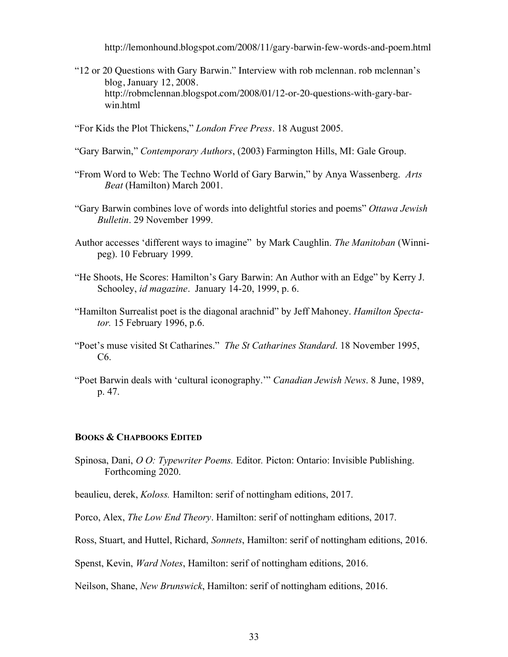http://lemonhound.blogspot.com/2008/11/gary-barwin-few-words-and-poem.html

- "12 or 20 Questions with Gary Barwin." Interview with rob mclennan. rob mclennan's blog, January 12, 2008. http://robmclennan.blogspot.com/2008/01/12-or-20-questions-with-gary-barwin.html
- "For Kids the Plot Thickens," *London Free Press*. 18 August 2005.
- "Gary Barwin," *Contemporary Authors*, (2003) Farmington Hills, MI: Gale Group.
- "From Word to Web: The Techno World of Gary Barwin," by Anya Wassenberg. *Arts Beat* (Hamilton) March 2001.
- "Gary Barwin combines love of words into delightful stories and poems" *Ottawa Jewish Bulletin*. 29 November 1999.
- Author accesses 'different ways to imagine" by Mark Caughlin. *The Manitoban* (Winnipeg). 10 February 1999.
- "He Shoots, He Scores: Hamilton's Gary Barwin: An Author with an Edge" by Kerry J. Schooley, *id magazine*. January 14-20, 1999, p. 6.
- "Hamilton Surrealist poet is the diagonal arachnid" by Jeff Mahoney. *Hamilton Spectator.* 15 February 1996, p.6.
- "Poet's muse visited St Catharines." *The St Catharines Standard*. 18 November 1995, C6.
- "Poet Barwin deals with 'cultural iconography.'" *Canadian Jewish News*. 8 June, 1989, p. 47.

### **BOOKS & CHAPBOOKS EDITED**

Spinosa, Dani, *O O: Typewriter Poems.* Editor*.* Picton: Ontario: Invisible Publishing. Forthcoming 2020.

beaulieu, derek, *Koloss.* Hamilton: serif of nottingham editions, 2017.

Porco, Alex, *The Low End Theory*. Hamilton: serif of nottingham editions, 2017.

Ross, Stuart, and Huttel, Richard, *Sonnets*, Hamilton: serif of nottingham editions, 2016.

Spenst, Kevin, *Ward Notes*, Hamilton: serif of nottingham editions, 2016.

Neilson, Shane, *New Brunswick*, Hamilton: serif of nottingham editions, 2016.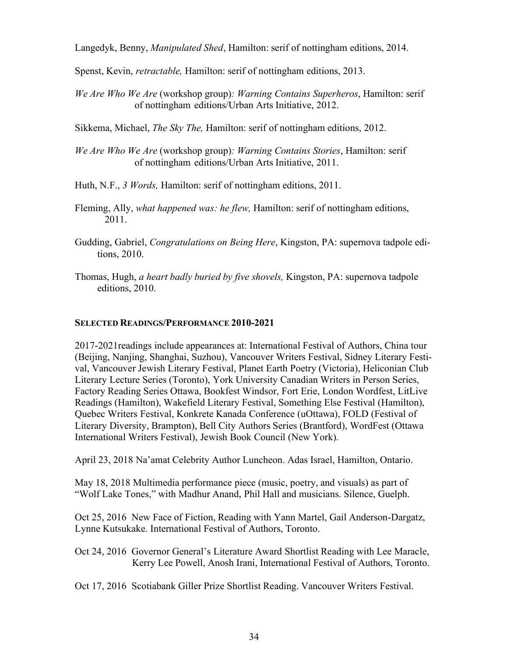Langedyk, Benny, *Manipulated Shed*, Hamilton: serif of nottingham editions, 2014.

Spenst, Kevin, *retractable,* Hamilton: serif of nottingham editions, 2013.

*We Are Who We Are* (workshop group)*: Warning Contains Superheros*, Hamilton: serif of nottingham editions/Urban Arts Initiative, 2012.

Sikkema, Michael, *The Sky The,* Hamilton: serif of nottingham editions, 2012.

*We Are Who We Are* (workshop group)*: Warning Contains Stories*, Hamilton: serif of nottingham editions/Urban Arts Initiative, 2011.

Huth, N.F., *3 Words,* Hamilton: serif of nottingham editions, 2011.

- Fleming, Ally, *what happened was: he flew,* Hamilton: serif of nottingham editions, 2011.
- Gudding, Gabriel, *Congratulations on Being Here*, Kingston, PA: supernova tadpole editions, 2010.
- Thomas, Hugh, *a heart badly buried by five shovels,* Kingston, PA: supernova tadpole editions, 2010.

# **SELECTED READINGS/PERFORMANCE 2010-2021**

2017-2021readings include appearances at: International Festival of Authors, China tour (Beijing, Nanjing, Shanghai, Suzhou), Vancouver Writers Festival, Sidney Literary Festival, Vancouver Jewish Literary Festival, Planet Earth Poetry (Victoria), Heliconian Club Literary Lecture Series (Toronto), York University Canadian Writers in Person Series, Factory Reading Series Ottawa, Bookfest Windsor, Fort Erie, London Wordfest, LitLive Readings (Hamilton), Wakefield Literary Festival, Something Else Festival (Hamilton), Quebec Writers Festival, Konkrete Kanada Conference (uOttawa), FOLD (Festival of Literary Diversity, Brampton), Bell City Authors Series (Brantford), WordFest (Ottawa International Writers Festival), Jewish Book Council (New York).

April 23, 2018 Na'amat Celebrity Author Luncheon. Adas Israel, Hamilton, Ontario.

May 18, 2018 Multimedia performance piece (music, poetry, and visuals) as part of "Wolf Lake Tones," with Madhur Anand, Phil Hall and musicians. Silence, Guelph.

Oct 25, 2016 New Face of Fiction, Reading with Yann Martel, Gail Anderson-Dargatz, Lynne Kutsukake. International Festival of Authors, Toronto.

- Oct 24, 2016 Governor General's Literature Award Shortlist Reading with Lee Maracle, Kerry Lee Powell, Anosh Irani, International Festival of Authors, Toronto.
- Oct 17, 2016 Scotiabank Giller Prize Shortlist Reading. Vancouver Writers Festival.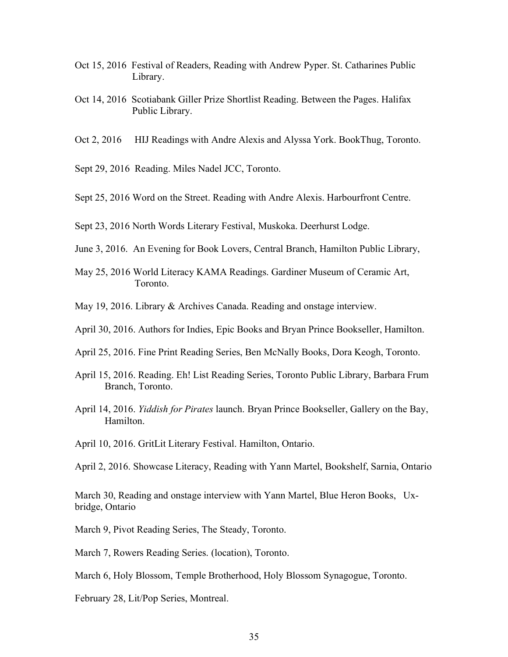- Oct 15, 2016Festival of Readers, Reading with Andrew Pyper. St. Catharines Public Library.
- Oct 14, 2016 Scotiabank Giller Prize Shortlist Reading. Between the Pages. Halifax Public Library.
- Oct 2, 2016 HIJ Readings with Andre Alexis and Alyssa York. BookThug, Toronto.
- Sept 29, 2016 Reading. Miles Nadel JCC, Toronto.
- Sept 25, 2016 Word on the Street. Reading with Andre Alexis. Harbourfront Centre.
- Sept 23, 2016 North Words Literary Festival, Muskoka. Deerhurst Lodge.
- June 3, 2016. An Evening for Book Lovers, Central Branch, Hamilton Public Library,
- May 25, 2016 World Literacy KAMA Readings. Gardiner Museum of Ceramic Art, Toronto.
- May 19, 2016. Library & Archives Canada. Reading and onstage interview.
- April 30, 2016. Authors for Indies, Epic Books and Bryan Prince Bookseller, Hamilton.
- April 25, 2016. Fine Print Reading Series, Ben McNally Books, Dora Keogh, Toronto.
- April 15, 2016. Reading. Eh! List Reading Series, Toronto Public Library, Barbara Frum Branch, Toronto.
- April 14, 2016. *Yiddish for Pirates* launch. Bryan Prince Bookseller, Gallery on the Bay, Hamilton.
- April 10, 2016. GritLit Literary Festival. Hamilton, Ontario.

April 2, 2016. Showcase Literacy, Reading with Yann Martel, Bookshelf, Sarnia, Ontario

March 30, Reading and onstage interview with Yann Martel, Blue Heron Books, Uxbridge, Ontario

March 9, Pivot Reading Series, The Steady, Toronto.

March 7, Rowers Reading Series. (location), Toronto.

March 6, Holy Blossom, Temple Brotherhood, Holy Blossom Synagogue, Toronto.

February 28, Lit/Pop Series, Montreal.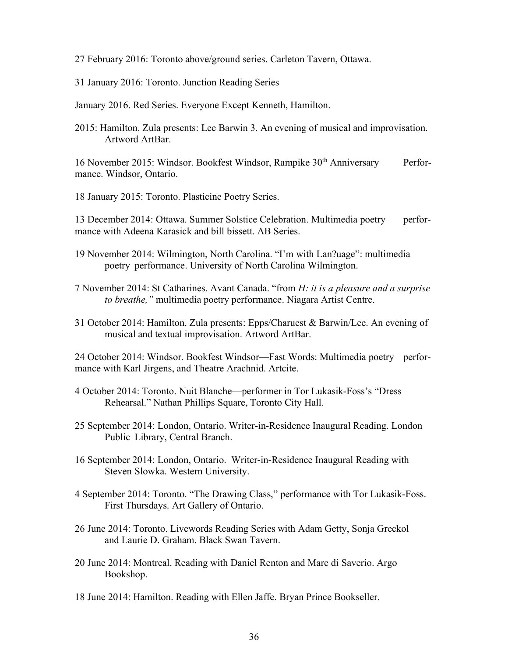27 February 2016: Toronto above/ground series. Carleton Tavern, Ottawa.

31 January 2016: Toronto. Junction Reading Series

January 2016. Red Series. Everyone Except Kenneth, Hamilton.

2015: Hamilton. Zula presents: Lee Barwin 3. An evening of musical and improvisation. Artword ArtBar.

16 November 2015: Windsor. Bookfest Windsor, Rampike 30<sup>th</sup> Anniversary Performance. Windsor, Ontario.

18 January 2015: Toronto. Plasticine Poetry Series.

13 December 2014: Ottawa. Summer Solstice Celebration. Multimedia poetry performance with Adeena Karasick and bill bissett. AB Series.

- 19 November 2014: Wilmington, North Carolina. "I'm with Lan?uage": multimedia poetry performance. University of North Carolina Wilmington.
- 7 November 2014: St Catharines. Avant Canada. "from *H: it is a pleasure and a surprise to breathe,"* multimedia poetry performance. Niagara Artist Centre.
- 31 October 2014: Hamilton. Zula presents: Epps/Charuest & Barwin/Lee. An evening of musical and textual improvisation. Artword ArtBar.

24 October 2014: Windsor. Bookfest Windsor—Fast Words: Multimedia poetry performance with Karl Jirgens, and Theatre Arachnid. Artcite.

- 4 October 2014: Toronto. Nuit Blanche—performer in Tor Lukasik-Foss's "Dress Rehearsal." Nathan Phillips Square, Toronto City Hall.
- 25 September 2014: London, Ontario. Writer-in-Residence Inaugural Reading. London Public Library, Central Branch.
- 16 September 2014: London, Ontario. Writer-in-Residence Inaugural Reading with Steven Slowka. Western University.
- 4 September 2014: Toronto. "The Drawing Class," performance with Tor Lukasik-Foss. First Thursdays. Art Gallery of Ontario.
- 26 June 2014: Toronto. Livewords Reading Series with Adam Getty, Sonja Greckol and Laurie D. Graham. Black Swan Tavern.
- 20 June 2014: Montreal. Reading with Daniel Renton and Marc di Saverio. Argo Bookshop.
- 18 June 2014: Hamilton. Reading with Ellen Jaffe. Bryan Prince Bookseller.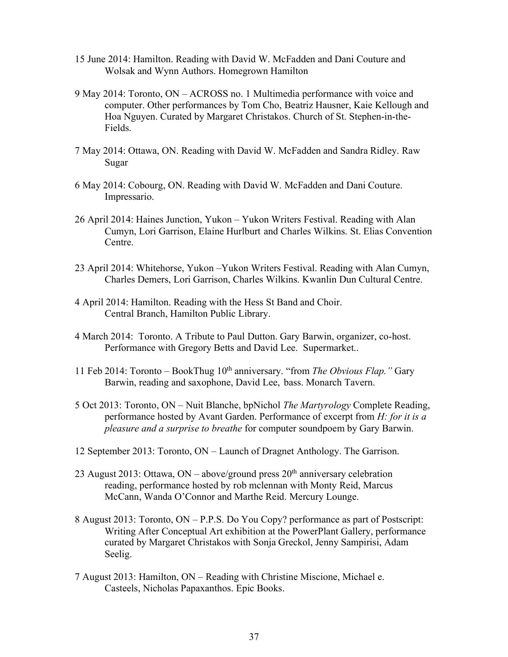- 15 June 2014: Hamilton. Reading with David W. McFadden and Dani Couture and Wolsak and Wynn Authors. Homegrown Hamilton
- 9 May 2014: Toronto, ON ACROSS no. 1 Multimedia performance with voice and computer. Other performances by Tom Cho, Beatriz Hausner, Kaie Kellough and Hoa Nguyen. Curated by Margaret Christakos. Church of St. Stephen-in-the-Fields.
- 7 May 2014: Ottawa, ON. Reading with David W. McFadden and Sandra Ridley. Raw Sugar
- 6 May 2014: Cobourg, ON. Reading with David W. McFadden and Dani Couture. Impressario.
- 26 April 2014: Haines Junction, Yukon Yukon Writers Festival. Reading with Alan Cumyn, Lori Garrison, Elaine Hurlburt and Charles Wilkins. St. Elias Convention Centre.
- 23 April 2014: Whitehorse, Yukon –Yukon Writers Festival. Reading with Alan Cumyn, Charles Demers, Lori Garrison, Charles Wilkins. Kwanlin Dun Cultural Centre.
- 4 April 2014: Hamilton. Reading with the Hess St Band and Choir. Central Branch, Hamilton Public Library.
- 4 March 2014: Toronto. A Tribute to Paul Dutton. Gary Barwin, organizer, co-host. Performance with Gregory Betts and David Lee. Supermarket..
- 11 Feb 2014: Toronto BookThug 10th anniversary. "from *The Obvious Flap."* Gary Barwin, reading and saxophone, David Lee, bass. Monarch Tavern.
- 5 Oct 2013: Toronto, ON Nuit Blanche, bpNichol *The Martyrology* Complete Reading, performance hosted by Avant Garden. Performance of excerpt from *H: for it is a pleasure and a surprise to breathe* for computer soundpoem by Gary Barwin.
- 12 September 2013: Toronto, ON Launch of Dragnet Anthology. The Garrison.
- 23 August 2013: Ottawa, ON above/ground press  $20<sup>th</sup>$  anniversary celebration reading, performance hosted by rob mclennan with Monty Reid, Marcus McCann, Wanda O'Connor and Marthe Reid. Mercury Lounge.
- 8 August 2013: Toronto, ON P.P.S. Do You Copy? performance as part of Postscript: Writing After Conceptual Art exhibition at the PowerPlant Gallery, performance curated by Margaret Christakos with Sonja Greckol, Jenny Sampirisi, Adam Seelig.
- 7 August 2013: Hamilton, ON Reading with Christine Miscione, Michael e. Casteels, Nicholas Papaxanthos. Epic Books.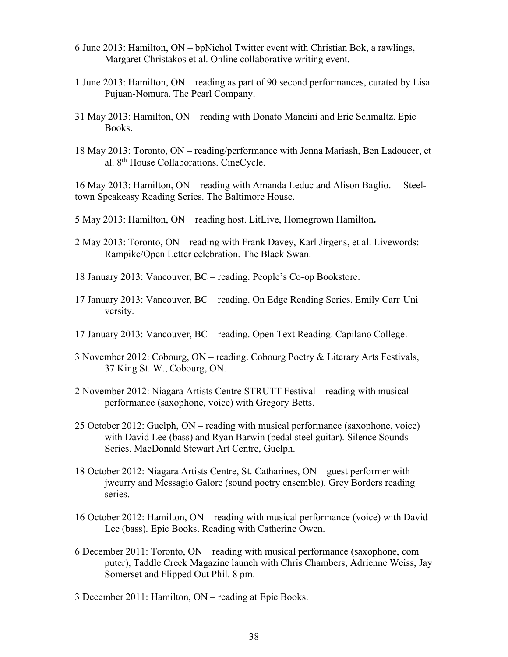- 6 June 2013: Hamilton, ON bpNichol Twitter event with Christian Bok, a rawlings, Margaret Christakos et al. Online collaborative writing event.
- 1 June 2013: Hamilton, ON reading as part of 90 second performances, curated by Lisa Pujuan-Nomura. The Pearl Company.
- 31 May 2013: Hamilton, ON reading with Donato Mancini and Eric Schmaltz. Epic Books.
- 18 May 2013: Toronto, ON reading/performance with Jenna Mariash, Ben Ladoucer, et al. 8th House Collaborations. CineCycle.

16 May 2013: Hamilton, ON – reading with Amanda Leduc and Alison Baglio. Steeltown Speakeasy Reading Series. The Baltimore House.

- 5 May 2013: Hamilton, ON reading host. LitLive, Homegrown Hamilton**.**
- 2 May 2013: Toronto, ON reading with Frank Davey, Karl Jirgens, et al. Livewords: Rampike/Open Letter celebration. The Black Swan.
- 18 January 2013: Vancouver, BC reading. People's Co-op Bookstore.
- 17 January 2013: Vancouver, BC reading. On Edge Reading Series. Emily Carr Uni versity.
- 17 January 2013: Vancouver, BC reading. Open Text Reading. Capilano College.
- 3 November 2012: Cobourg, ON reading. Cobourg Poetry & Literary Arts Festivals, 37 King St. W., Cobourg, ON.
- 2 November 2012: Niagara Artists Centre STRUTT Festival reading with musical performance (saxophone, voice) with Gregory Betts.
- 25 October 2012: Guelph, ON reading with musical performance (saxophone, voice) with David Lee (bass) and Ryan Barwin (pedal steel guitar). Silence Sounds Series. MacDonald Stewart Art Centre, Guelph.
- 18 October 2012: Niagara Artists Centre, St. Catharines, ON guest performer with jwcurry and Messagio Galore (sound poetry ensemble). Grey Borders reading series.
- 16 October 2012: Hamilton, ON reading with musical performance (voice) with David Lee (bass). Epic Books. Reading with Catherine Owen.
- 6 December 2011: Toronto, ON reading with musical performance (saxophone, com puter), Taddle Creek Magazine launch with Chris Chambers, Adrienne Weiss, Jay Somerset and Flipped Out Phil. 8 pm.
- 3 December 2011: Hamilton, ON reading at Epic Books.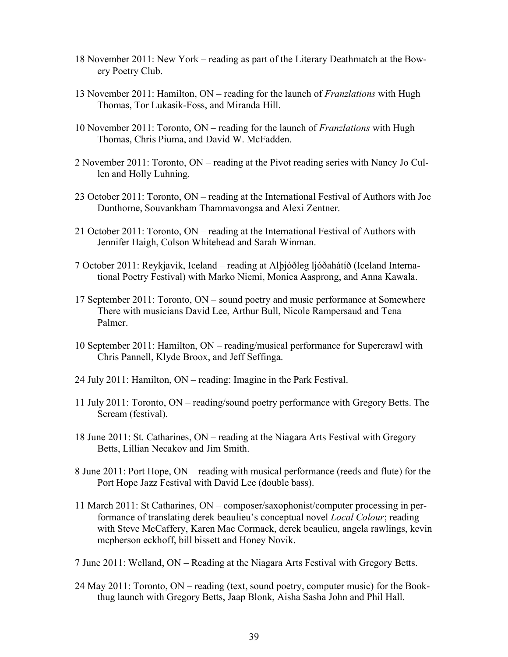- 18 November 2011: New York reading as part of the Literary Deathmatch at the Bowery Poetry Club.
- 13 November 2011: Hamilton, ON reading for the launch of *Franzlations* with Hugh Thomas, Tor Lukasik-Foss, and Miranda Hill.
- 10 November 2011: Toronto, ON reading for the launch of *Franzlations* with Hugh Thomas, Chris Piuma, and David W. McFadden.
- 2 November 2011: Toronto, ON reading at the Pivot reading series with Nancy Jo Cullen and Holly Luhning.
- 23 October 2011: Toronto, ON reading at the International Festival of Authors with Joe Dunthorne, Souvankham Thammavongsa and Alexi Zentner.
- 21 October 2011: Toronto, ON reading at the International Festival of Authors with Jennifer Haigh, Colson Whitehead and Sarah Winman.
- 7 October 2011: Reykjavik, Iceland reading at Alþjóðleg ljóðahátíð (Iceland International Poetry Festival) with Marko Niemi, Monica Aasprong, and Anna Kawala.
- 17 September 2011: Toronto, ON sound poetry and music performance at Somewhere There with musicians David Lee, Arthur Bull, Nicole Rampersaud and Tena Palmer.
- 10 September 2011: Hamilton, ON reading/musical performance for Supercrawl with Chris Pannell, Klyde Broox, and Jeff Seffinga.
- 24 July 2011: Hamilton, ON reading: Imagine in the Park Festival.
- 11 July 2011: Toronto, ON reading/sound poetry performance with Gregory Betts. The Scream (festival).
- 18 June 2011: St. Catharines, ON reading at the Niagara Arts Festival with Gregory Betts, Lillian Necakov and Jim Smith.
- 8 June 2011: Port Hope, ON reading with musical performance (reeds and flute) for the Port Hope Jazz Festival with David Lee (double bass).
- 11 March 2011: St Catharines, ON composer/saxophonist/computer processing in performance of translating derek beaulieu's conceptual novel *Local Colour*; reading with Steve McCaffery, Karen Mac Cormack, derek beaulieu, angela rawlings, kevin mcpherson eckhoff, bill bissett and Honey Novik.
- 7 June 2011: Welland, ON Reading at the Niagara Arts Festival with Gregory Betts.
- 24 May 2011: Toronto, ON reading (text, sound poetry, computer music) for the Bookthug launch with Gregory Betts, Jaap Blonk, Aisha Sasha John and Phil Hall.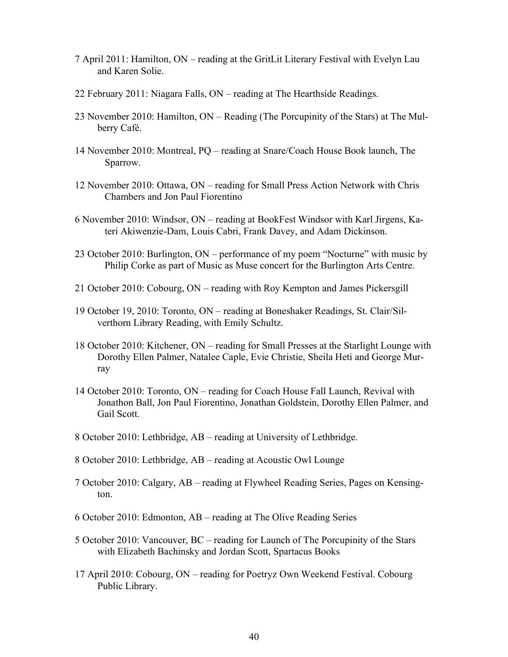- 7 April 2011: Hamilton, ON reading at the GritLit Literary Festival with Evelyn Lau and Karen Solie.
- 22 February 2011: Niagara Falls, ON reading at The Hearthside Readings.
- 23 November 2010: Hamilton, ON Reading (The Porcupinity of the Stars) at The Mulberry Café.
- 14 November 2010: Montreal, PQ reading at Snare/Coach House Book launch, The Sparrow.
- 12 November 2010: Ottawa, ON reading for Small Press Action Network with Chris Chambers and Jon Paul Fiorentino
- 6 November 2010: Windsor, ON reading at BookFest Windsor with Karl Jirgens, Kateri Akiwenzie-Dam, Louis Cabri, Frank Davey, and Adam Dickinson.
- 23 October 2010: Burlington, ON performance of my poem "Nocturne" with music by Philip Corke as part of Music as Muse concert for the Burlington Arts Centre.
- 21 October 2010: Cobourg, ON reading with Roy Kempton and James Pickersgill
- 19 October 19, 2010: Toronto, ON reading at Boneshaker Readings, St. Clair/Silverthorn Library Reading, with Emily Schultz.
- 18 October 2010: Kitchener, ON reading for Small Presses at the Starlight Lounge with Dorothy Ellen Palmer, Natalee Caple, Evie Christie, Sheila Heti and George Murray
- 14 October 2010: Toronto, ON reading for Coach House Fall Launch, Revival with Jonathon Ball, Jon Paul Fiorentino, Jonathan Goldstein, Dorothy Ellen Palmer, and Gail Scott.
- 8 October 2010: Lethbridge, AB reading at University of Lethbridge.
- 8 October 2010: Lethbridge, AB reading at Acoustic Owl Lounge
- 7 October 2010: Calgary, AB reading at Flywheel Reading Series, Pages on Kensington.
- 6 October 2010: Edmonton, AB reading at The Olive Reading Series
- 5 October 2010: Vancouver, BC reading for Launch of The Porcupinity of the Stars with Elizabeth Bachinsky and Jordan Scott, Spartacus Books
- 17 April 2010: Cobourg, ON reading for Poetryz Own Weekend Festival. Cobourg Public Library.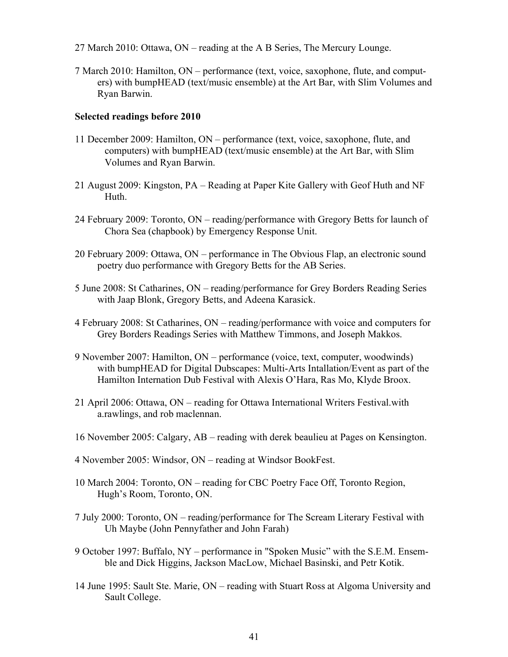- 27 March 2010: Ottawa, ON reading at the A B Series, The Mercury Lounge.
- 7 March 2010: Hamilton, ON performance (text, voice, saxophone, flute, and computers) with bumpHEAD (text/music ensemble) at the Art Bar, with Slim Volumes and Ryan Barwin.

## **Selected readings before 2010**

- 11 December 2009: Hamilton, ON performance (text, voice, saxophone, flute, and computers) with bumpHEAD (text/music ensemble) at the Art Bar, with Slim Volumes and Ryan Barwin.
- 21 August 2009: Kingston, PA Reading at Paper Kite Gallery with Geof Huth and NF Huth.
- 24 February 2009: Toronto, ON reading/performance with Gregory Betts for launch of Chora Sea (chapbook) by Emergency Response Unit.
- 20 February 2009: Ottawa, ON performance in The Obvious Flap, an electronic sound poetry duo performance with Gregory Betts for the AB Series.
- 5 June 2008: St Catharines, ON reading/performance for Grey Borders Reading Series with Jaap Blonk, Gregory Betts, and Adeena Karasick.
- 4 February 2008: St Catharines, ON reading/performance with voice and computers for Grey Borders Readings Series with Matthew Timmons, and Joseph Makkos.
- 9 November 2007: Hamilton, ON performance (voice, text, computer, woodwinds) with bumpHEAD for Digital Dubscapes: Multi-Arts Intallation/Event as part of the Hamilton Internation Dub Festival with Alexis O'Hara, Ras Mo, Klyde Broox.
- 21 April 2006: Ottawa, ON reading for Ottawa International Writers Festival.with a.rawlings, and rob maclennan.
- 16 November 2005: Calgary, AB reading with derek beaulieu at Pages on Kensington.
- 4 November 2005: Windsor, ON reading at Windsor BookFest.
- 10 March 2004: Toronto, ON reading for CBC Poetry Face Off, Toronto Region, Hugh's Room, Toronto, ON.
- 7 July 2000: Toronto, ON reading/performance for The Scream Literary Festival with Uh Maybe (John Pennyfather and John Farah)
- 9 October 1997: Buffalo, NY performance in "Spoken Music" with the S.E.M. Ensemble and Dick Higgins, Jackson MacLow, Michael Basinski, and Petr Kotik.
- 14 June 1995: Sault Ste. Marie, ON reading with Stuart Ross at Algoma University and Sault College.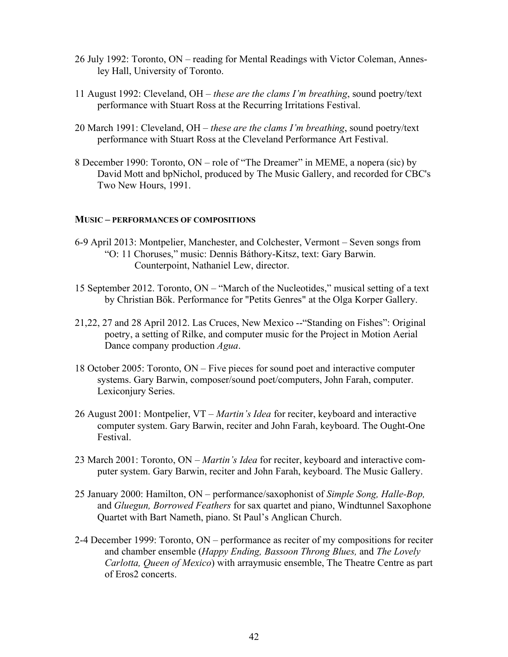- 26 July 1992: Toronto, ON reading for Mental Readings with Victor Coleman, Annesley Hall, University of Toronto.
- 11 August 1992: Cleveland, OH *these are the clams I'm breathing*, sound poetry/text performance with Stuart Ross at the Recurring Irritations Festival.
- 20 March 1991: Cleveland, OH *these are the clams I'm breathing*, sound poetry/text performance with Stuart Ross at the Cleveland Performance Art Festival.
- 8 December 1990: Toronto, ON role of "The Dreamer" in MEME, a nopera (sic) by David Mott and bpNichol, produced by The Music Gallery, and recorded for CBC's Two New Hours, 1991.

### **MUSIC – PERFORMANCES OF COMPOSITIONS**

- 6-9 April 2013: Montpelier, Manchester, and Colchester, Vermont Seven songs from "O: 11 Choruses," music: Dennis Báthory-Kitsz, text: Gary Barwin. Counterpoint, Nathaniel Lew, director.
- 15 September 2012. Toronto, ON "March of the Nucleotides," musical setting of a text by Christian Bök. Performance for "Petits Genres" at the Olga Korper Gallery.
- 21,22, 27 and 28 April 2012. Las Cruces, New Mexico --"Standing on Fishes": Original poetry, a setting of Rilke, and computer music for the Project in Motion Aerial Dance company production *Agua*.
- 18 October 2005: Toronto, ON Five pieces for sound poet and interactive computer systems. Gary Barwin, composer/sound poet/computers, John Farah, computer. Lexiconjury Series.
- 26 August 2001: Montpelier, VT *Martin's Idea* for reciter, keyboard and interactive computer system. Gary Barwin, reciter and John Farah, keyboard. The Ought-One Festival.
- 23 March 2001: Toronto, ON *Martin's Idea* for reciter, keyboard and interactive computer system. Gary Barwin, reciter and John Farah, keyboard. The Music Gallery.
- 25 January 2000: Hamilton, ON performance/saxophonist of *Simple Song, Halle-Bop,* and *Gluegun, Borrowed Feathers* for sax quartet and piano, Windtunnel Saxophone Quartet with Bart Nameth, piano. St Paul's Anglican Church.
- 2-4 December 1999: Toronto, ON performance as reciter of my compositions for reciter and chamber ensemble (*Happy Ending, Bassoon Throng Blues,* and *The Lovely Carlotta, Queen of Mexico*) with arraymusic ensemble, The Theatre Centre as part of Eros2 concerts.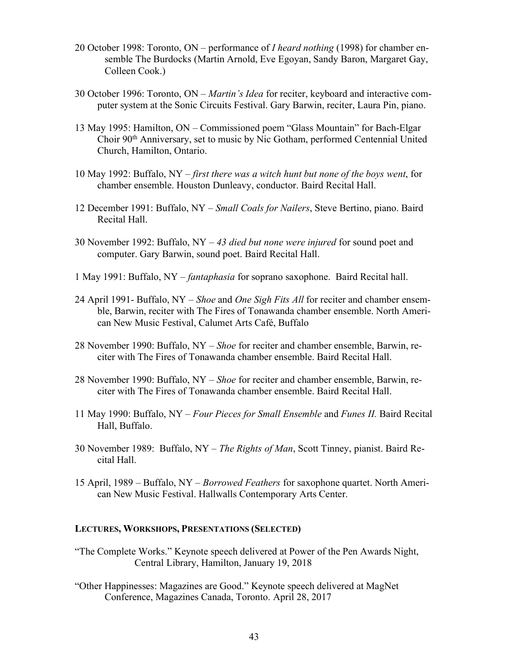- 20 October 1998: Toronto, ON performance of *I heard nothing* (1998) for chamber ensemble The Burdocks (Martin Arnold, Eve Egoyan, Sandy Baron, Margaret Gay, Colleen Cook.)
- 30 October 1996: Toronto, ON *Martin's Idea* for reciter, keyboard and interactive computer system at the Sonic Circuits Festival. Gary Barwin, reciter, Laura Pin, piano.
- 13 May 1995: Hamilton, ON Commissioned poem "Glass Mountain" for Bach-Elgar Choir 90th Anniversary, set to music by Nic Gotham, performed Centennial United Church, Hamilton, Ontario.
- 10 May 1992: Buffalo, NY *first there was a witch hunt but none of the boys went*, for chamber ensemble. Houston Dunleavy, conductor. Baird Recital Hall.
- 12 December 1991: Buffalo, NY *Small Coals for Nailers*, Steve Bertino, piano. Baird Recital Hall.
- 30 November 1992: Buffalo, NY *43 died but none were injured* for sound poet and computer. Gary Barwin, sound poet. Baird Recital Hall.
- 1 May 1991: Buffalo, NY *fantaphasia* for soprano saxophone. Baird Recital hall.
- 24 April 1991- Buffalo, NY *Shoe* and *One Sigh Fits All* for reciter and chamber ensemble, Barwin, reciter with The Fires of Tonawanda chamber ensemble. North American New Music Festival, Calumet Arts Café, Buffalo
- 28 November 1990: Buffalo, NY *Shoe* for reciter and chamber ensemble, Barwin, reciter with The Fires of Tonawanda chamber ensemble. Baird Recital Hall.
- 28 November 1990: Buffalo, NY *Shoe* for reciter and chamber ensemble, Barwin, reciter with The Fires of Tonawanda chamber ensemble. Baird Recital Hall.
- 11 May 1990: Buffalo, NY *Four Pieces for Small Ensemble* and *Funes II.* Baird Recital Hall, Buffalo.
- 30 November 1989: Buffalo, NY *The Rights of Man*, Scott Tinney, pianist. Baird Recital Hall.
- 15 April, 1989 Buffalo, NY *Borrowed Feathers* for saxophone quartet. North American New Music Festival. Hallwalls Contemporary Arts Center.

## **LECTURES, WORKSHOPS, PRESENTATIONS (SELECTED)**

- "The Complete Works." Keynote speech delivered at Power of the Pen Awards Night, Central Library, Hamilton, January 19, 2018
- "Other Happinesses: Magazines are Good." Keynote speech delivered at MagNet Conference, Magazines Canada, Toronto. April 28, 2017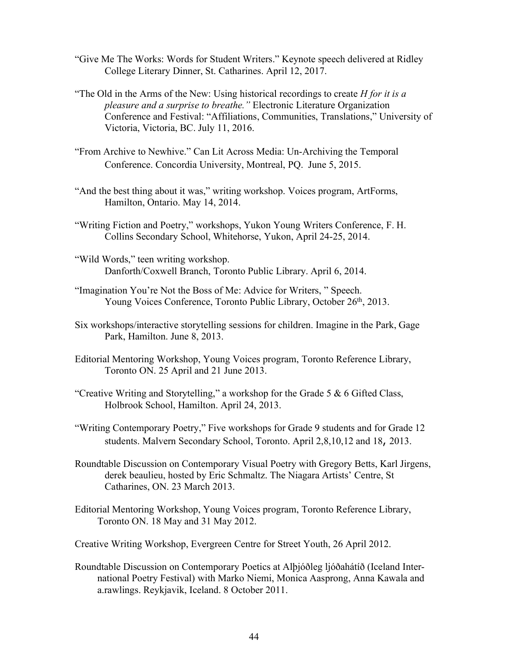- "Give Me The Works: Words for Student Writers." Keynote speech delivered at Ridley College Literary Dinner, St. Catharines. April 12, 2017.
- "The Old in the Arms of the New: Using historical recordings to create *H for it is a pleasure and a surprise to breathe."* Electronic Literature Organization Conference and Festival: "Affiliations, Communities, Translations," University of Victoria, Victoria, BC. July 11, 2016.
- "From Archive to Newhive." Can Lit Across Media: Un-Archiving the Temporal Conference. Concordia University, Montreal, PQ. June 5, 2015.
- "And the best thing about it was," writing workshop. Voices program, ArtForms, Hamilton, Ontario. May 14, 2014.
- "Writing Fiction and Poetry," workshops, Yukon Young Writers Conference, F. H. Collins Secondary School, Whitehorse, Yukon, April 24-25, 2014.
- "Wild Words," teen writing workshop. Danforth/Coxwell Branch, Toronto Public Library. April 6, 2014.
- "Imagination You're Not the Boss of Me: Advice for Writers, " Speech. Young Voices Conference, Toronto Public Library, October 26<sup>th</sup>, 2013.
- Six workshops/interactive storytelling sessions for children. Imagine in the Park, Gage Park, Hamilton. June 8, 2013.
- Editorial Mentoring Workshop, Young Voices program, Toronto Reference Library, Toronto ON. 25 April and 21 June 2013.
- "Creative Writing and Storytelling," a workshop for the Grade 5  $\&$  6 Gifted Class, Holbrook School, Hamilton. April 24, 2013.
- "Writing Contemporary Poetry," Five workshops for Grade 9 students and for Grade 12 students. Malvern Secondary School, Toronto. April 2,8,10,12 and 18, 2013.
- Roundtable Discussion on Contemporary Visual Poetry with Gregory Betts, Karl Jirgens, derek beaulieu, hosted by Eric Schmaltz. The Niagara Artists' Centre, St Catharines, ON. 23 March 2013.
- Editorial Mentoring Workshop, Young Voices program, Toronto Reference Library, Toronto ON. 18 May and 31 May 2012.
- Creative Writing Workshop, Evergreen Centre for Street Youth, 26 April 2012.
- Roundtable Discussion on Contemporary Poetics at Alþjóðleg ljóðahátíð (Iceland International Poetry Festival) with Marko Niemi, Monica Aasprong, Anna Kawala and a.rawlings. Reykjavik, Iceland. 8 October 2011.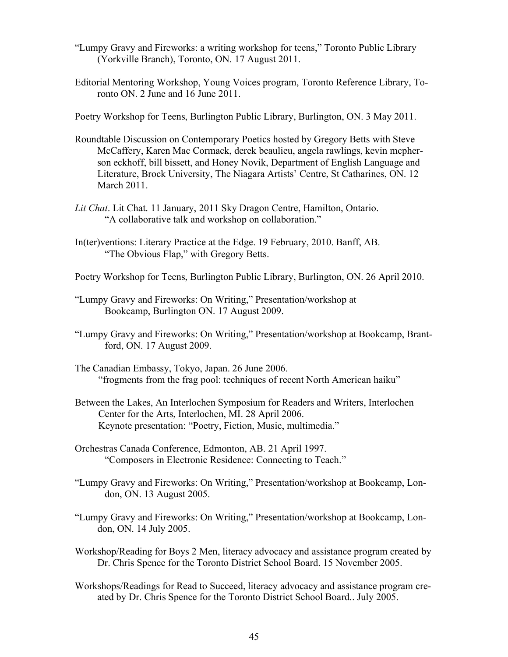- "Lumpy Gravy and Fireworks: a writing workshop for teens," Toronto Public Library (Yorkville Branch), Toronto, ON. 17 August 2011.
- Editorial Mentoring Workshop, Young Voices program, Toronto Reference Library, Toronto ON. 2 June and 16 June 2011.

Poetry Workshop for Teens, Burlington Public Library, Burlington, ON. 3 May 2011.

- Roundtable Discussion on Contemporary Poetics hosted by Gregory Betts with Steve McCaffery, Karen Mac Cormack, derek beaulieu, angela rawlings, kevin mcpherson eckhoff, bill bissett, and Honey Novik, Department of English Language and Literature, Brock University, The Niagara Artists' Centre, St Catharines, ON. 12 March 2011.
- *Lit Chat*. Lit Chat. 11 January, 2011 Sky Dragon Centre, Hamilton, Ontario. "A collaborative talk and workshop on collaboration."
- In(ter)ventions: Literary Practice at the Edge. 19 February, 2010. Banff, AB. "The Obvious Flap," with Gregory Betts.
- Poetry Workshop for Teens, Burlington Public Library, Burlington, ON. 26 April 2010.
- "Lumpy Gravy and Fireworks: On Writing," Presentation/workshop at Bookcamp, Burlington ON. 17 August 2009.
- "Lumpy Gravy and Fireworks: On Writing," Presentation/workshop at Bookcamp, Brantford, ON. 17 August 2009.
- The Canadian Embassy, Tokyo, Japan. 26 June 2006. "frogments from the frag pool: techniques of recent North American haiku"
- Between the Lakes, An Interlochen Symposium for Readers and Writers, Interlochen Center for the Arts, Interlochen, MI. 28 April 2006. Keynote presentation: "Poetry, Fiction, Music, multimedia."
- Orchestras Canada Conference, Edmonton, AB. 21 April 1997. "Composers in Electronic Residence: Connecting to Teach."
- "Lumpy Gravy and Fireworks: On Writing," Presentation/workshop at Bookcamp, London, ON. 13 August 2005.
- "Lumpy Gravy and Fireworks: On Writing," Presentation/workshop at Bookcamp, London, ON. 14 July 2005.
- Workshop/Reading for Boys 2 Men, literacy advocacy and assistance program created by Dr. Chris Spence for the Toronto District School Board. 15 November 2005.
- Workshops/Readings for Read to Succeed, literacy advocacy and assistance program created by Dr. Chris Spence for the Toronto District School Board.. July 2005.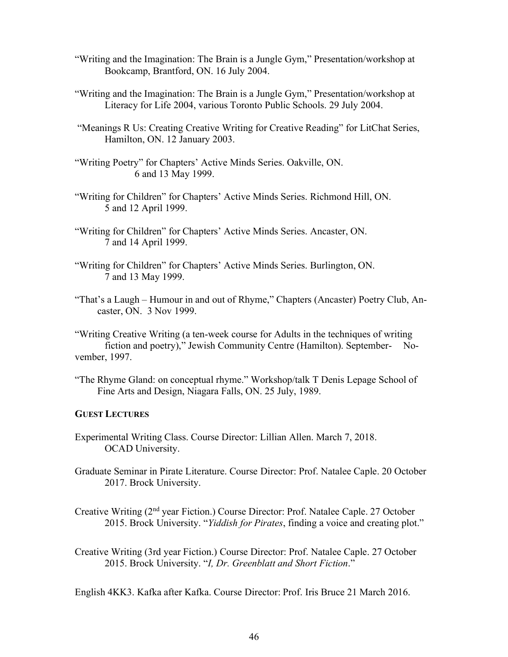- "Writing and the Imagination: The Brain is a Jungle Gym," Presentation/workshop at Bookcamp, Brantford, ON. 16 July 2004.
- "Writing and the Imagination: The Brain is a Jungle Gym," Presentation/workshop at Literacy for Life 2004, various Toronto Public Schools. 29 July 2004.
- "Meanings R Us: Creating Creative Writing for Creative Reading" for LitChat Series, Hamilton, ON. 12 January 2003.
- "Writing Poetry" for Chapters' Active Minds Series. Oakville, ON. 6 and 13 May 1999.
- "Writing for Children" for Chapters' Active Minds Series. Richmond Hill, ON. 5 and 12 April 1999.
- "Writing for Children" for Chapters' Active Minds Series. Ancaster, ON. 7 and 14 April 1999.
- "Writing for Children" for Chapters' Active Minds Series. Burlington, ON. 7 and 13 May 1999.
- "That's a Laugh Humour in and out of Rhyme," Chapters (Ancaster) Poetry Club, Ancaster, ON. 3 Nov 1999.

"Writing Creative Writing (a ten-week course for Adults in the techniques of writing fiction and poetry)," Jewish Community Centre (Hamilton). September- November, 1997.

"The Rhyme Gland: on conceptual rhyme." Workshop/talk T Denis Lepage School of Fine Arts and Design, Niagara Falls, ON. 25 July, 1989.

### **GUEST LECTURES**

- Experimental Writing Class. Course Director: Lillian Allen. March 7, 2018. OCAD University.
- Graduate Seminar in Pirate Literature. Course Director: Prof. Natalee Caple. 20 October 2017. Brock University.

Creative Writing (2nd year Fiction.) Course Director: Prof. Natalee Caple. 27 October 2015. Brock University. "*Yiddish for Pirates*, finding a voice and creating plot."

Creative Writing (3rd year Fiction.) Course Director: Prof. Natalee Caple. 27 October 2015. Brock University. "*I, Dr. Greenblatt and Short Fiction*."

English 4KK3. Kafka after Kafka. Course Director: Prof. Iris Bruce 21 March 2016.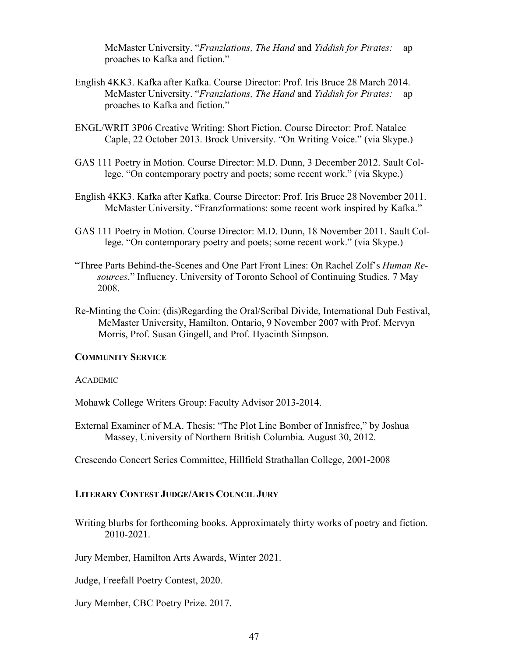McMaster University. "*Franzlations, The Hand* and *Yiddish for Pirates:* ap proaches to Kafka and fiction."

- English 4KK3. Kafka after Kafka. Course Director: Prof. Iris Bruce 28 March 2014. McMaster University. "*Franzlations, The Hand* and *Yiddish for Pirates:* ap proaches to Kafka and fiction."
- ENGL/WRIT 3P06 Creative Writing: Short Fiction. Course Director: Prof. Natalee Caple, 22 October 2013. Brock University. "On Writing Voice." (via Skype.)
- GAS 111 Poetry in Motion. Course Director: M.D. Dunn, 3 December 2012. Sault College. "On contemporary poetry and poets; some recent work." (via Skype.)
- English 4KK3. Kafka after Kafka. Course Director: Prof. Iris Bruce 28 November 2011. McMaster University. "Franzformations: some recent work inspired by Kafka."
- GAS 111 Poetry in Motion. Course Director: M.D. Dunn, 18 November 2011. Sault College. "On contemporary poetry and poets; some recent work." (via Skype.)
- "Three Parts Behind-the-Scenes and One Part Front Lines: On Rachel Zolf's *Human Resources*." Influency. University of Toronto School of Continuing Studies. 7 May 2008.
- Re-Minting the Coin: (dis)Regarding the Oral/Scribal Divide, International Dub Festival, McMaster University, Hamilton, Ontario, 9 November 2007 with Prof. Mervyn Morris, Prof. Susan Gingell, and Prof. Hyacinth Simpson.

#### **COMMUNITY SERVICE**

#### ACADEMIC

Mohawk College Writers Group: Faculty Advisor 2013-2014.

External Examiner of M.A. Thesis: "The Plot Line Bomber of Innisfree," by Joshua Massey, University of Northern British Columbia. August 30, 2012.

Crescendo Concert Series Committee, Hillfield Strathallan College, 2001-2008

### **LITERARY CONTEST JUDGE/ARTS COUNCIL JURY**

Writing blurbs for forthcoming books. Approximately thirty works of poetry and fiction. 2010-2021.

Jury Member, Hamilton Arts Awards, Winter 2021.

Judge, Freefall Poetry Contest, 2020.

Jury Member, CBC Poetry Prize. 2017.